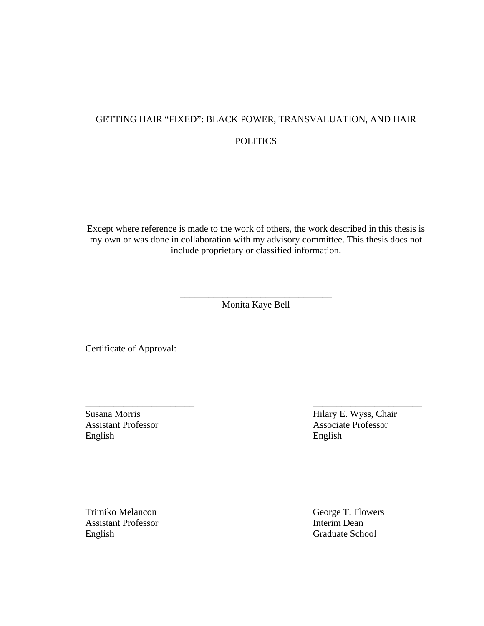## GETTING HAIR "FIXED": BLACK POWER, TRANSVALUATION, AND HAIR **POLITICS**

Except where reference is made to the work of others, the work described in this thesis is my own or was done in collaboration with my advisory committee. This thesis does not include proprietary or classified information.

> \_\_\_\_\_\_\_\_\_\_\_\_\_\_\_\_\_\_\_\_\_\_\_\_\_\_\_\_\_\_\_\_ Monita Kaye Bell

\_\_\_\_\_\_\_\_\_\_\_\_\_\_\_\_\_\_\_\_\_\_\_ \_\_\_\_\_\_\_\_\_\_\_\_\_\_\_\_\_\_\_\_\_\_\_

\_\_\_\_\_\_\_\_\_\_\_\_\_\_\_\_\_\_\_\_\_\_\_ \_\_\_\_\_\_\_\_\_\_\_\_\_\_\_\_\_\_\_\_\_\_\_

Certificate of Approval:

English English

Susana Morris Hilary E. Wyss, Chair Assistant Professor Associate Professor

Trimiko Melancon George T. Flowers<br>Assistant Professor Flowers<br>Interim Dean Assistant Professor English Graduate School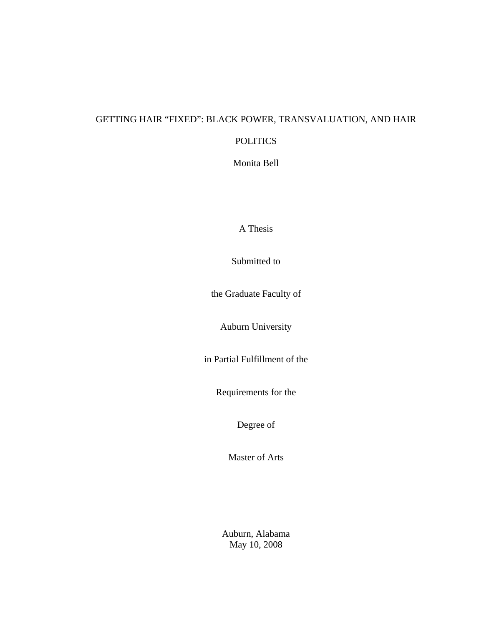### GETTING HAIR "FIXED": BLACK POWER, TRANSVALUATION, AND HAIR

### POLITICS

Monita Bell

A Thesis

Submitted to

the Graduate Faculty of

Auburn University

in Partial Fulfillment of the

Requirements for the

Degree of

Master of Arts

Auburn, Alabama May 10, 2008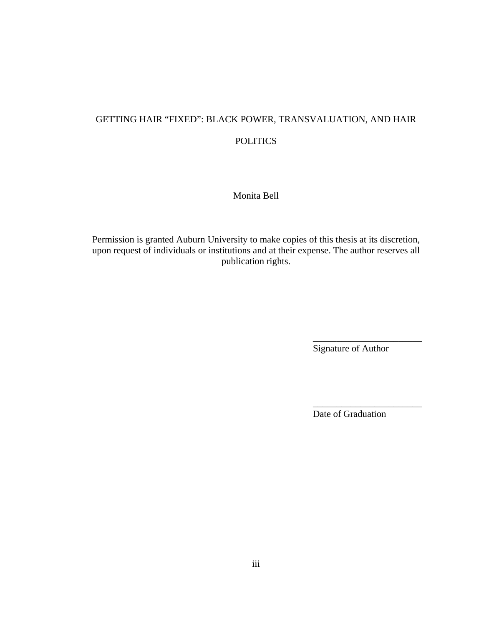# GETTING HAIR "FIXED": BLACK POWER, TRANSVALUATION, AND HAIR **POLITICS**

Monita Bell

Permission is granted Auburn University to make copies of this thesis at its discretion, upon request of individuals or institutions and at their expense. The author reserves all publication rights.

 $\overline{\phantom{a}}$  , which is a set of the set of the set of the set of the set of the set of the set of the set of the set of the set of the set of the set of the set of the set of the set of the set of the set of the set of th

 $\overline{\phantom{a}}$  , which is a set of the set of the set of the set of the set of the set of the set of the set of the set of the set of the set of the set of the set of the set of the set of the set of the set of the set of th

Signature of Author

Date of Graduation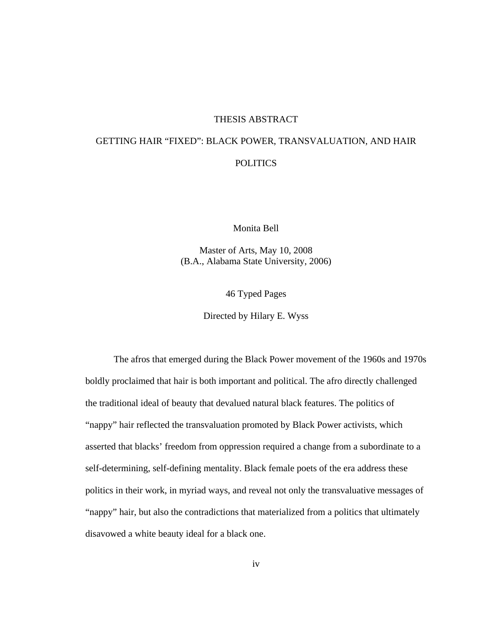#### THESIS ABSTRACT

### GETTING HAIR "FIXED": BLACK POWER, TRANSVALUATION, AND HAIR POLITICS

Monita Bell

Master of Arts, May 10, 2008 (B.A., Alabama State University, 2006)

46 Typed Pages

Directed by Hilary E. Wyss

 The afros that emerged during the Black Power movement of the 1960s and 1970s boldly proclaimed that hair is both important and political. The afro directly challenged the traditional ideal of beauty that devalued natural black features. The politics of "nappy" hair reflected the transvaluation promoted by Black Power activists, which asserted that blacks' freedom from oppression required a change from a subordinate to a self-determining, self-defining mentality. Black female poets of the era address these politics in their work, in myriad ways, and reveal not only the transvaluative messages of "nappy" hair, but also the contradictions that materialized from a politics that ultimately disavowed a white beauty ideal for a black one.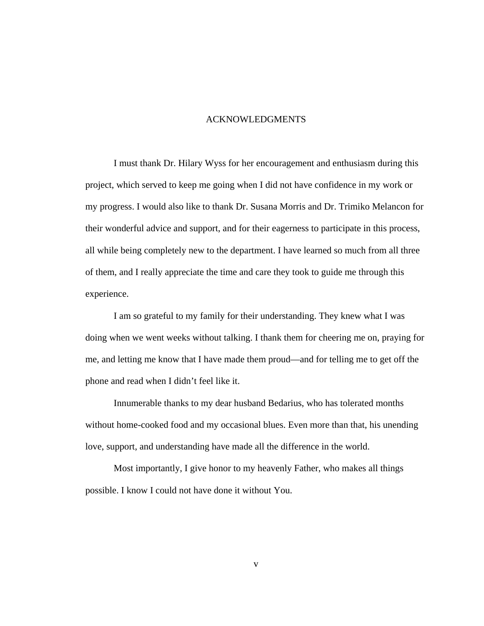#### ACKNOWLEDGMENTS

 I must thank Dr. Hilary Wyss for her encouragement and enthusiasm during this project, which served to keep me going when I did not have confidence in my work or my progress. I would also like to thank Dr. Susana Morris and Dr. Trimiko Melancon for their wonderful advice and support, and for their eagerness to participate in this process, all while being completely new to the department. I have learned so much from all three of them, and I really appreciate the time and care they took to guide me through this experience.

 I am so grateful to my family for their understanding. They knew what I was doing when we went weeks without talking. I thank them for cheering me on, praying for me, and letting me know that I have made them proud—and for telling me to get off the phone and read when I didn't feel like it.

 Innumerable thanks to my dear husband Bedarius, who has tolerated months without home-cooked food and my occasional blues. Even more than that, his unending love, support, and understanding have made all the difference in the world.

Most importantly, I give honor to my heavenly Father, who makes all things possible. I know I could not have done it without You.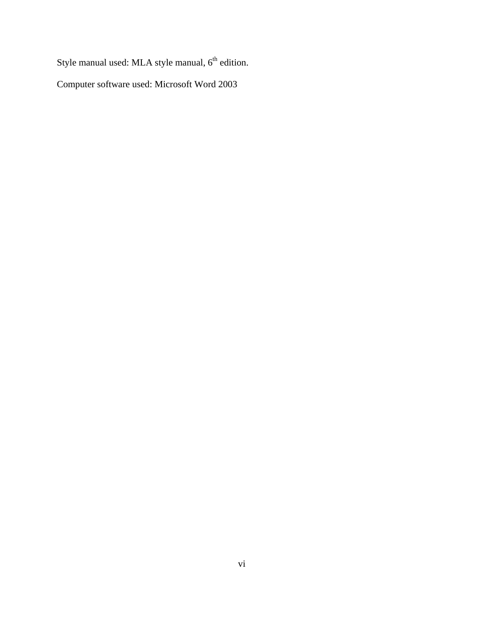Style manual used: MLA style manual,  $6<sup>th</sup>$  edition.

Computer software used: Microsoft Word 2003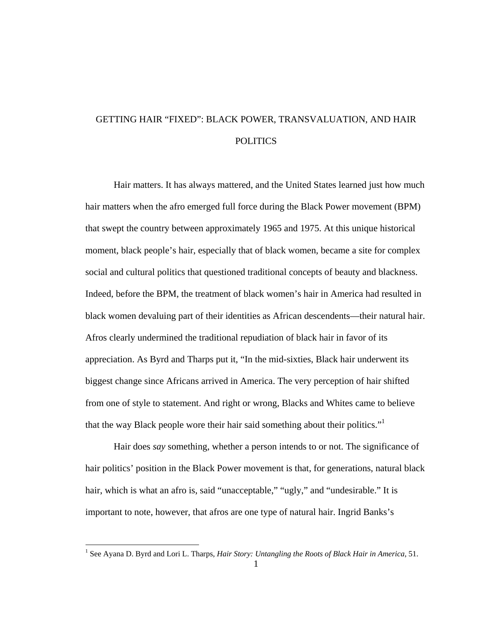## GETTING HAIR "FIXED": BLACK POWER, TRANSVALUATION, AND HAIR **POLITICS**

Hair matters. It has always mattered, and the United States learned just how much hair matters when the afro emerged full force during the Black Power movement (BPM) that swept the country between approximately 1965 and 1975. At this unique historical moment, black people's hair, especially that of black women, became a site for complex social and cultural politics that questioned traditional concepts of beauty and blackness. Indeed, before the BPM, the treatment of black women's hair in America had resulted in black women devaluing part of their identities as African descendents—their natural hair. Afros clearly undermined the traditional repudiation of black hair in favor of its appreciation. As Byrd and Tharps put it, "In the mid-sixties, Black hair underwent its biggest change since Africans arrived in America. The very perception of hair shifted from one of style to statement. And right or wrong, Blacks and Whites came to believe that the way Black people wore their hair said something about their politics."<sup>1</sup>

Hair does *say* something, whether a person intends to or not. The significance of hair politics' position in the Black Power movement is that, for generations, natural black hair, which is what an afro is, said "unacceptable," "ugly," and "undesirable." It is important to note, however, that afros are one type of natural hair. Ingrid Banks's

 1 See Ayana D. Byrd and Lori L. Tharps, *Hair Story: Untangling the Roots of Black Hair in America*, 51.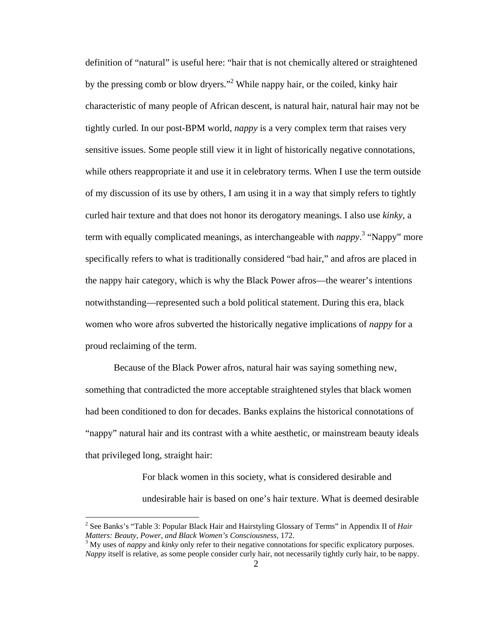definition of "natural" is useful here: "hair that is not chemically altered or straightened by the pressing comb or blow dryers."<sup>2</sup> While nappy hair, or the coiled, kinky hair characteristic of many people of African descent, is natural hair, natural hair may not be tightly curled. In our post-BPM world, *nappy* is a very complex term that raises very sensitive issues. Some people still view it in light of historically negative connotations, while others reappropriate it and use it in celebratory terms. When I use the term outside of my discussion of its use by others, I am using it in a way that simply refers to tightly curled hair texture and that does not honor its derogatory meanings. I also use *kinky*, a term with equally complicated meanings, as interchangeable with *nappy*. 3 "Nappy" more specifically refers to what is traditionally considered "bad hair," and afros are placed in the nappy hair category, which is why the Black Power afros—the wearer's intentions notwithstanding—represented such a bold political statement. During this era, black women who wore afros subverted the historically negative implications of *nappy* for a proud reclaiming of the term.

Because of the Black Power afros, natural hair was saying something new, something that contradicted the more acceptable straightened styles that black women had been conditioned to don for decades. Banks explains the historical connotations of "nappy" natural hair and its contrast with a white aesthetic, or mainstream beauty ideals that privileged long, straight hair:

> For black women in this society, what is considered desirable and undesirable hair is based on one's hair texture. What is deemed desirable

 2 See Banks's "Table 3: Popular Black Hair and Hairstyling Glossary of Terms" in Appendix II of *Hair Matters: Beauty, Power, and Black Women's Consciousness*, 172. 3

<sup>&</sup>lt;sup>3</sup> My uses of *nappy* and *kinky* only refer to their negative connotations for specific explicatory purposes. *Nappy* itself is relative, as some people consider curly hair, not necessarily tightly curly hair, to be nappy.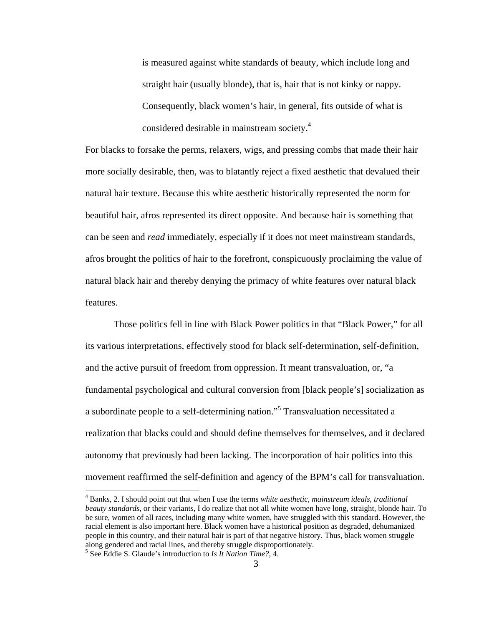is measured against white standards of beauty, which include long and straight hair (usually blonde), that is, hair that is not kinky or nappy. Consequently, black women's hair, in general, fits outside of what is considered desirable in mainstream society.4

For blacks to forsake the perms, relaxers, wigs, and pressing combs that made their hair more socially desirable, then, was to blatantly reject a fixed aesthetic that devalued their natural hair texture. Because this white aesthetic historically represented the norm for beautiful hair, afros represented its direct opposite. And because hair is something that can be seen and *read* immediately, especially if it does not meet mainstream standards, afros brought the politics of hair to the forefront, conspicuously proclaiming the value of natural black hair and thereby denying the primacy of white features over natural black features.

Those politics fell in line with Black Power politics in that "Black Power," for all its various interpretations, effectively stood for black self-determination, self-definition, and the active pursuit of freedom from oppression. It meant transvaluation, or, "a fundamental psychological and cultural conversion from [black people's] socialization as a subordinate people to a self-determining nation."<sup>5</sup> Transvaluation necessitated a realization that blacks could and should define themselves for themselves, and it declared autonomy that previously had been lacking. The incorporation of hair politics into this movement reaffirmed the self-definition and agency of the BPM's call for transvaluation.

1

<sup>4</sup> Bank*s*, 2. I should point out that when I use the terms *white aesthetic*, *mainstream ideals*, *traditional beauty standards*, or their variants, I do realize that not all white women have long, straight, blonde hair. To be sure, women of all races, including many white women, have struggled with this standard. However, the racial element is also important here. Black women have a historical position as degraded, dehumanized people in this country, and their natural hair is part of that negative history. Thus, black women struggle along gendered and racial lines, and thereby struggle disproportionately. 5

See Eddie S. Glaude's introduction to *Is It Nation Time?*, 4.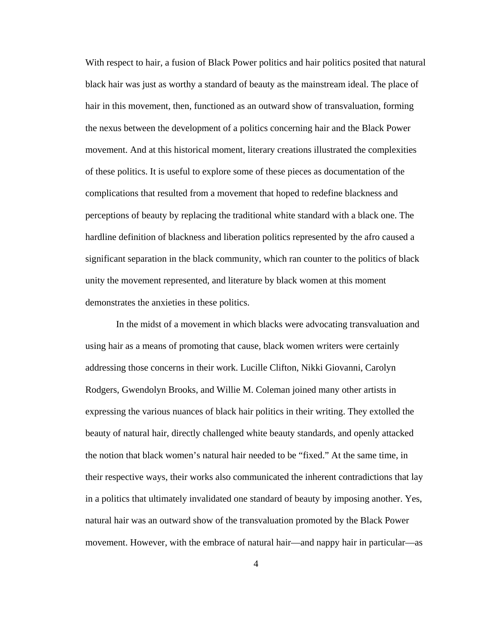With respect to hair, a fusion of Black Power politics and hair politics posited that natural black hair was just as worthy a standard of beauty as the mainstream ideal. The place of hair in this movement, then, functioned as an outward show of transvaluation, forming the nexus between the development of a politics concerning hair and the Black Power movement. And at this historical moment, literary creations illustrated the complexities of these politics. It is useful to explore some of these pieces as documentation of the complications that resulted from a movement that hoped to redefine blackness and perceptions of beauty by replacing the traditional white standard with a black one. The hardline definition of blackness and liberation politics represented by the afro caused a significant separation in the black community, which ran counter to the politics of black unity the movement represented, and literature by black women at this moment demonstrates the anxieties in these politics.

 In the midst of a movement in which blacks were advocating transvaluation and using hair as a means of promoting that cause, black women writers were certainly addressing those concerns in their work. Lucille Clifton, Nikki Giovanni, Carolyn Rodgers, Gwendolyn Brooks, and Willie M. Coleman joined many other artists in expressing the various nuances of black hair politics in their writing. They extolled the beauty of natural hair, directly challenged white beauty standards, and openly attacked the notion that black women's natural hair needed to be "fixed." At the same time, in their respective ways, their works also communicated the inherent contradictions that lay in a politics that ultimately invalidated one standard of beauty by imposing another. Yes, natural hair was an outward show of the transvaluation promoted by the Black Power movement. However, with the embrace of natural hair—and nappy hair in particular—as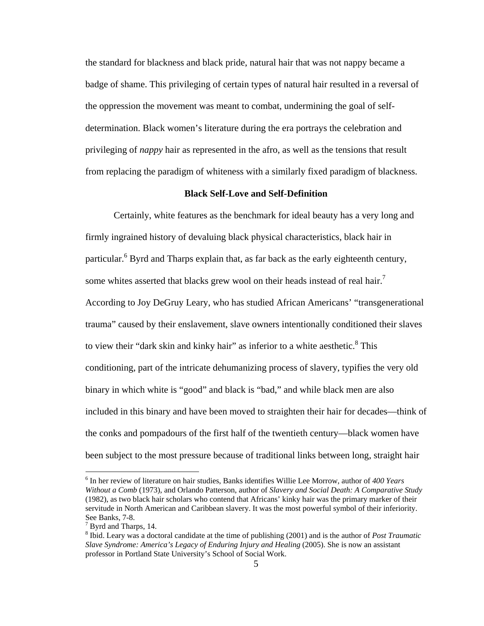the standard for blackness and black pride, natural hair that was not nappy became a badge of shame. This privileging of certain types of natural hair resulted in a reversal of the oppression the movement was meant to combat, undermining the goal of selfdetermination. Black women's literature during the era portrays the celebration and privileging of *nappy* hair as represented in the afro, as well as the tensions that result from replacing the paradigm of whiteness with a similarly fixed paradigm of blackness.

#### **Black Self-Love and Self-Definition**

 Certainly, white features as the benchmark for ideal beauty has a very long and firmly ingrained history of devaluing black physical characteristics, black hair in particular.<sup>6</sup> Byrd and Tharps explain that, as far back as the early eighteenth century, some whites asserted that blacks grew wool on their heads instead of real hair.<sup>7</sup> According to Joy DeGruy Leary, who has studied African Americans' "transgenerational trauma" caused by their enslavement, slave owners intentionally conditioned their slaves to view their "dark skin and kinky hair" as inferior to a white aesthetic. $8$  This conditioning, part of the intricate dehumanizing process of slavery, typifies the very old binary in which white is "good" and black is "bad," and while black men are also included in this binary and have been moved to straighten their hair for decades—think of the conks and pompadours of the first half of the twentieth century—black women have been subject to the most pressure because of traditional links between long, straight hair

<sup>6</sup> In her review of literature on hair studies, Banks identifies Willie Lee Morrow, author of *400 Years Without a Comb* (1973), and Orlando Patterson, author of *Slavery and Social Death: A Comparative Study* (1982), as two black hair scholars who contend that Africans' kinky hair was the primary marker of their servitude in North American and Caribbean slavery. It was the most powerful symbol of their inferiority. See Banks, 7-8.

 $<sup>7</sup>$  Byrd and Tharps, 14.</sup>

<sup>8</sup> Ibid. Leary was a doctoral candidate at the time of publishing (2001) and is the author of *Post Traumatic Slave Syndrome: America's Legacy of Enduring Injury and Healing* (2005). She is now an assistant professor in Portland State University's School of Social Work.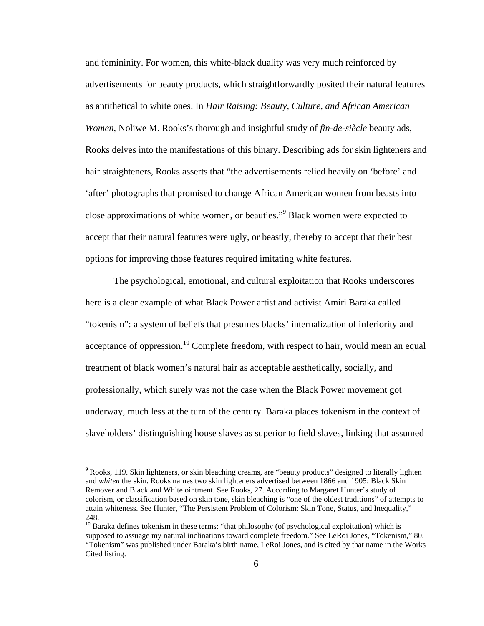and femininity. For women, this white-black duality was very much reinforced by advertisements for beauty products, which straightforwardly posited their natural features as antithetical to white ones. In *Hair Raising: Beauty, Culture, and African American Women*, Noliwe M. Rooks's thorough and insightful study of *fin-de-siècle* beauty ads, Rooks delves into the manifestations of this binary. Describing ads for skin lighteners and hair straighteners, Rooks asserts that "the advertisements relied heavily on 'before' and 'after' photographs that promised to change African American women from beasts into close approximations of white women, or beauties."<sup>9</sup> Black women were expected to accept that their natural features were ugly, or beastly, thereby to accept that their best options for improving those features required imitating white features.

The psychological, emotional, and cultural exploitation that Rooks underscores here is a clear example of what Black Power artist and activist Amiri Baraka called "tokenism": a system of beliefs that presumes blacks' internalization of inferiority and acceptance of oppression.<sup>10</sup> Complete freedom, with respect to hair, would mean an equal treatment of black women's natural hair as acceptable aesthetically, socially, and professionally, which surely was not the case when the Black Power movement got underway, much less at the turn of the century. Baraka places tokenism in the context of slaveholders' distinguishing house slaves as superior to field slaves, linking that assumed

<sup>&</sup>lt;sup>9</sup> Rooks, 119. Skin lighteners, or skin bleaching creams, are "beauty products" designed to literally lighten and *whiten* the skin. Rooks names two skin lighteners advertised between 1866 and 1905: Black Skin Remover and Black and White ointment. See Rooks, 27. According to Margaret Hunter's study of colorism, or classification based on skin tone, skin bleaching is "one of the oldest traditions" of attempts to attain whiteness. See Hunter, "The Persistent Problem of Colorism: Skin Tone, Status, and Inequality," 248.

<sup>&</sup>lt;sup>10</sup> Baraka defines tokenism in these terms: "that philosophy (of psychological exploitation) which is supposed to assuage my natural inclinations toward complete freedom." See LeRoi Jones, "Tokenism," 80. "Tokenism" was published under Baraka's birth name, LeRoi Jones, and is cited by that name in the Works Cited listing.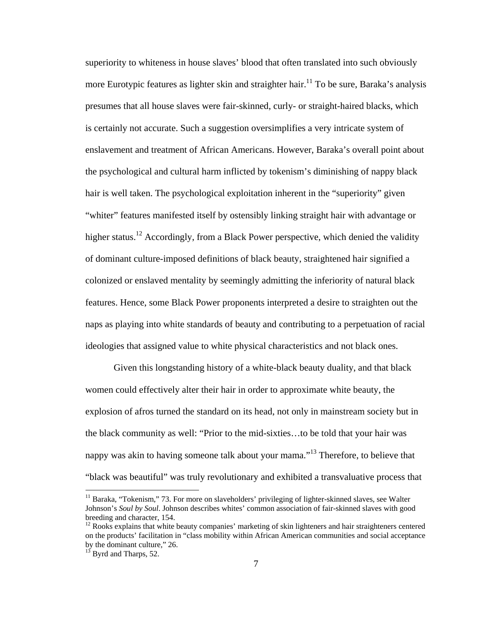superiority to whiteness in house slaves' blood that often translated into such obviously more Eurotypic features as lighter skin and straighter hair.<sup>11</sup> To be sure, Baraka's analysis presumes that all house slaves were fair-skinned, curly- or straight-haired blacks, which is certainly not accurate. Such a suggestion oversimplifies a very intricate system of enslavement and treatment of African Americans. However, Baraka's overall point about the psychological and cultural harm inflicted by tokenism's diminishing of nappy black hair is well taken. The psychological exploitation inherent in the "superiority" given "whiter" features manifested itself by ostensibly linking straight hair with advantage or higher status.<sup>12</sup> Accordingly, from a Black Power perspective, which denied the validity of dominant culture-imposed definitions of black beauty, straightened hair signified a colonized or enslaved mentality by seemingly admitting the inferiority of natural black features. Hence, some Black Power proponents interpreted a desire to straighten out the naps as playing into white standards of beauty and contributing to a perpetuation of racial ideologies that assigned value to white physical characteristics and not black ones.

Given this longstanding history of a white-black beauty duality, and that black women could effectively alter their hair in order to approximate white beauty, the explosion of afros turned the standard on its head, not only in mainstream society but in the black community as well: "Prior to the mid-sixties…to be told that your hair was nappy was akin to having someone talk about your mama."<sup>13</sup> Therefore, to believe that "black was beautiful" was truly revolutionary and exhibited a transvaluative process that

<sup>&</sup>lt;sup>11</sup> Baraka, "Tokenism," 73. For more on slaveholders' privileging of lighter-skinned slaves, see Walter Johnson's *Soul by Soul*. Johnson describes whites' common association of fair-skinned slaves with good breeding and character, 154.

<sup>&</sup>lt;sup>12</sup> Rooks explains that white beauty companies' marketing of skin lighteners and hair straighteners centered on the products' facilitation in "class mobility within African American communities and social acceptance by the dominant culture," 26.

 $13$  Byrd and Tharps, 52.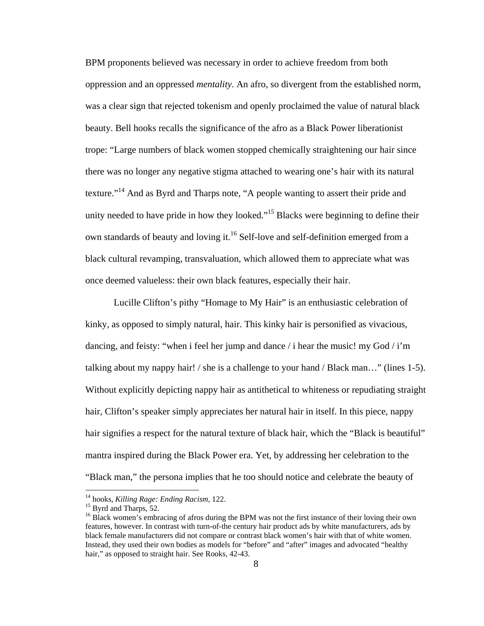BPM proponents believed was necessary in order to achieve freedom from both oppression and an oppressed *mentality*. An afro, so divergent from the established norm, was a clear sign that rejected tokenism and openly proclaimed the value of natural black beauty. Bell hooks recalls the significance of the afro as a Black Power liberationist trope: "Large numbers of black women stopped chemically straightening our hair since there was no longer any negative stigma attached to wearing one's hair with its natural texture."14 And as Byrd and Tharps note, "A people wanting to assert their pride and unity needed to have pride in how they looked."<sup>15</sup> Blacks were beginning to define their own standards of beauty and loving it.<sup>16</sup> Self-love and self-definition emerged from a black cultural revamping, transvaluation, which allowed them to appreciate what was once deemed valueless: their own black features, especially their hair.

Lucille Clifton's pithy "Homage to My Hair" is an enthusiastic celebration of kinky, as opposed to simply natural, hair. This kinky hair is personified as vivacious, dancing, and feisty: "when i feel her jump and dance  $\ell$  i hear the music! my God  $\ell$  i'm talking about my nappy hair! / she is a challenge to your hand / Black man..." (lines 1-5). Without explicitly depicting nappy hair as antithetical to whiteness or repudiating straight hair, Clifton's speaker simply appreciates her natural hair in itself. In this piece, nappy hair signifies a respect for the natural texture of black hair, which the "Black is beautiful" mantra inspired during the Black Power era. Yet, by addressing her celebration to the "Black man," the persona implies that he too should notice and celebrate the beauty of

<sup>&</sup>lt;sup>14</sup> hooks, *Killing Rage: Ending Racism*, 122.<br><sup>15</sup> Byrd and Tharps, 52.

<sup>&</sup>lt;sup>16</sup> Black women's embracing of afros during the BPM was not the first instance of their loving their own features, however. In contrast with turn-of-the century hair product ads by white manufacturers, ads by black female manufacturers did not compare or contrast black women's hair with that of white women. Instead, they used their own bodies as models for "before" and "after" images and advocated "healthy hair," as opposed to straight hair. See Rooks, 42-43.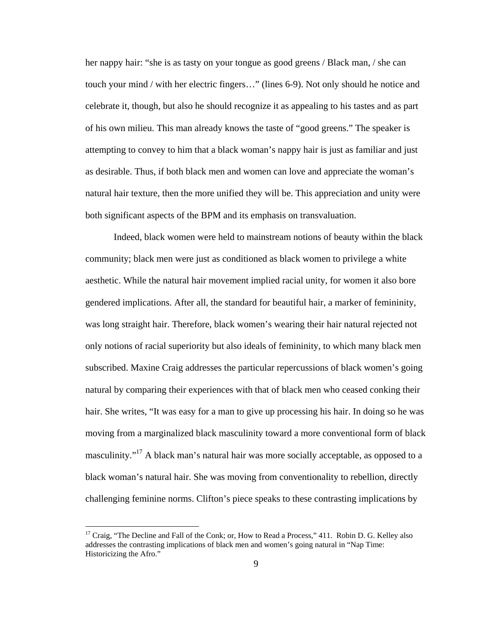her nappy hair: "she is as tasty on your tongue as good greens / Black man, / she can touch your mind / with her electric fingers…" (lines 6-9). Not only should he notice and celebrate it, though, but also he should recognize it as appealing to his tastes and as part of his own milieu. This man already knows the taste of "good greens." The speaker is attempting to convey to him that a black woman's nappy hair is just as familiar and just as desirable. Thus, if both black men and women can love and appreciate the woman's natural hair texture, then the more unified they will be. This appreciation and unity were both significant aspects of the BPM and its emphasis on transvaluation.

Indeed, black women were held to mainstream notions of beauty within the black community; black men were just as conditioned as black women to privilege a white aesthetic. While the natural hair movement implied racial unity, for women it also bore gendered implications. After all, the standard for beautiful hair, a marker of femininity, was long straight hair. Therefore, black women's wearing their hair natural rejected not only notions of racial superiority but also ideals of femininity, to which many black men subscribed. Maxine Craig addresses the particular repercussions of black women's going natural by comparing their experiences with that of black men who ceased conking their hair. She writes, "It was easy for a man to give up processing his hair. In doing so he was moving from a marginalized black masculinity toward a more conventional form of black masculinity."<sup>17</sup> A black man's natural hair was more socially acceptable, as opposed to a black woman's natural hair. She was moving from conventionality to rebellion, directly challenging feminine norms. Clifton's piece speaks to these contrasting implications by

 $17$  Craig, "The Decline and Fall of the Conk; or, How to Read a Process," 411. Robin D. G. Kelley also addresses the contrasting implications of black men and women's going natural in "Nap Time: Historicizing the Afro."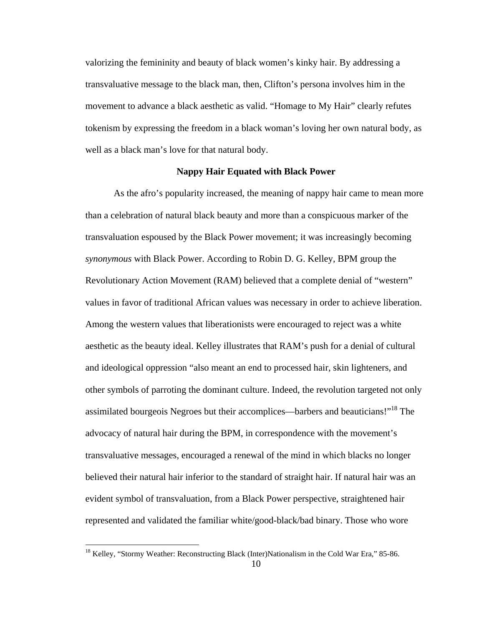valorizing the femininity and beauty of black women's kinky hair. By addressing a transvaluative message to the black man, then, Clifton's persona involves him in the movement to advance a black aesthetic as valid. "Homage to My Hair" clearly refutes tokenism by expressing the freedom in a black woman's loving her own natural body, as well as a black man's love for that natural body.

#### **Nappy Hair Equated with Black Power**

As the afro's popularity increased, the meaning of nappy hair came to mean more than a celebration of natural black beauty and more than a conspicuous marker of the transvaluation espoused by the Black Power movement; it was increasingly becoming *synonymous* with Black Power. According to Robin D. G. Kelley, BPM group the Revolutionary Action Movement (RAM) believed that a complete denial of "western" values in favor of traditional African values was necessary in order to achieve liberation. Among the western values that liberationists were encouraged to reject was a white aesthetic as the beauty ideal. Kelley illustrates that RAM's push for a denial of cultural and ideological oppression "also meant an end to processed hair, skin lighteners, and other symbols of parroting the dominant culture. Indeed, the revolution targeted not only assimilated bourgeois Negroes but their accomplices—barbers and beauticians!"18 The advocacy of natural hair during the BPM, in correspondence with the movement's transvaluative messages, encouraged a renewal of the mind in which blacks no longer believed their natural hair inferior to the standard of straight hair. If natural hair was an evident symbol of transvaluation, from a Black Power perspective, straightened hair represented and validated the familiar white/good-black/bad binary. Those who wore

<sup>&</sup>lt;sup>18</sup> Kelley, "Stormy Weather: Reconstructing Black (Inter)Nationalism in the Cold War Era," 85-86.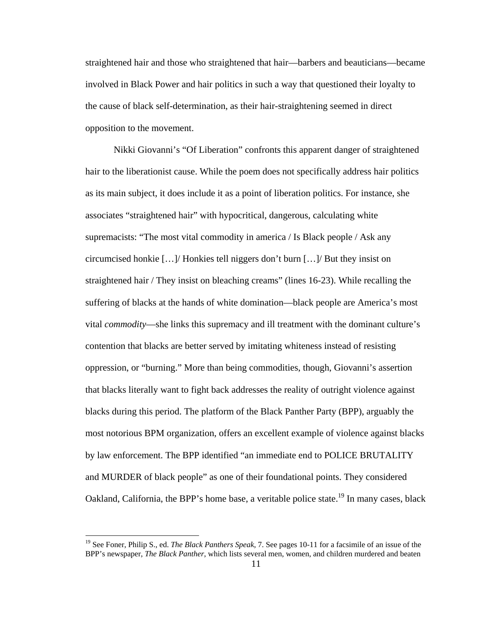straightened hair and those who straightened that hair—barbers and beauticians—became involved in Black Power and hair politics in such a way that questioned their loyalty to the cause of black self-determination, as their hair-straightening seemed in direct opposition to the movement.

Nikki Giovanni's "Of Liberation" confronts this apparent danger of straightened hair to the liberationist cause. While the poem does not specifically address hair politics as its main subject, it does include it as a point of liberation politics. For instance, she associates "straightened hair" with hypocritical, dangerous, calculating white supremacists: "The most vital commodity in america / Is Black people / Ask any circumcised honkie […]/ Honkies tell niggers don't burn […]/ But they insist on straightened hair / They insist on bleaching creams" (lines 16-23). While recalling the suffering of blacks at the hands of white domination—black people are America's most vital *commodity*—she links this supremacy and ill treatment with the dominant culture's contention that blacks are better served by imitating whiteness instead of resisting oppression, or "burning." More than being commodities, though, Giovanni's assertion that blacks literally want to fight back addresses the reality of outright violence against blacks during this period. The platform of the Black Panther Party (BPP), arguably the most notorious BPM organization, offers an excellent example of violence against blacks by law enforcement. The BPP identified "an immediate end to POLICE BRUTALITY and MURDER of black people" as one of their foundational points. They considered Oakland, California, the BPP's home base, a veritable police state.<sup>19</sup> In many cases, black

<sup>19</sup> See Foner, Philip S., ed. *The Black Panthers Speak*, 7. See pages 10-11 for a facsimile of an issue of the BPP's newspaper, *The Black Panther*, which lists several men, women, and children murdered and beaten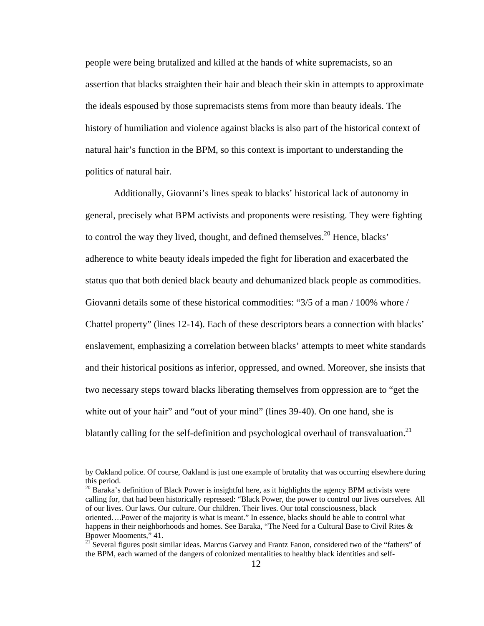people were being brutalized and killed at the hands of white supremacists, so an assertion that blacks straighten their hair and bleach their skin in attempts to approximate the ideals espoused by those supremacists stems from more than beauty ideals. The history of humiliation and violence against blacks is also part of the historical context of natural hair's function in the BPM, so this context is important to understanding the politics of natural hair.

Additionally, Giovanni's lines speak to blacks' historical lack of autonomy in general, precisely what BPM activists and proponents were resisting. They were fighting to control the way they lived, thought, and defined themselves.<sup>20</sup> Hence, blacks' adherence to white beauty ideals impeded the fight for liberation and exacerbated the status quo that both denied black beauty and dehumanized black people as commodities. Giovanni details some of these historical commodities: "3/5 of a man / 100% whore / Chattel property" (lines 12-14). Each of these descriptors bears a connection with blacks' enslavement, emphasizing a correlation between blacks' attempts to meet white standards and their historical positions as inferior, oppressed, and owned. Moreover, she insists that two necessary steps toward blacks liberating themselves from oppression are to "get the white out of your hair" and "out of your mind" (lines 39-40). On one hand, she is blatantly calling for the self-definition and psychological overhaul of transvaluation.<sup>21</sup>

by Oakland police. Of course, Oakland is just one example of brutality that was occurring elsewhere during this period.

 $20$  Baraka's definition of Black Power is insightful here, as it highlights the agency BPM activists were calling for, that had been historically repressed: "Black Power, the power to control our lives ourselves. All of our lives. Our laws. Our culture. Our children. Their lives. Our total consciousness, black oriented….Power of the majority is what is meant." In essence, blacks should be able to control what happens in their neighborhoods and homes. See Baraka, "The Need for a Cultural Base to Civil Rites & Bpower Mooments," 41.

<sup>&</sup>lt;sup>21</sup> Several figures posit similar ideas. Marcus Garvey and Frantz Fanon, considered two of the "fathers" of the BPM, each warned of the dangers of colonized mentalities to healthy black identities and self-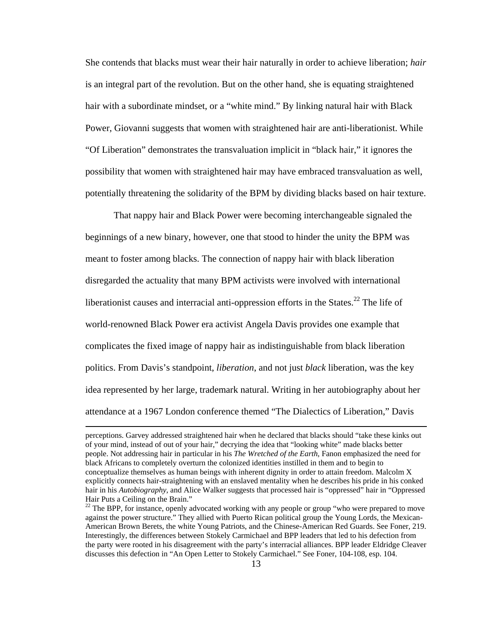She contends that blacks must wear their hair naturally in order to achieve liberation; *hair* is an integral part of the revolution. But on the other hand, she is equating straightened hair with a subordinate mindset, or a "white mind." By linking natural hair with Black Power, Giovanni suggests that women with straightened hair are anti-liberationist. While "Of Liberation" demonstrates the transvaluation implicit in "black hair," it ignores the possibility that women with straightened hair may have embraced transvaluation as well, potentially threatening the solidarity of the BPM by dividing blacks based on hair texture.

That nappy hair and Black Power were becoming interchangeable signaled the beginnings of a new binary, however, one that stood to hinder the unity the BPM was meant to foster among blacks. The connection of nappy hair with black liberation disregarded the actuality that many BPM activists were involved with international liberationist causes and interracial anti-oppression efforts in the States.<sup>22</sup> The life of world-renowned Black Power era activist Angela Davis provides one example that complicates the fixed image of nappy hair as indistinguishable from black liberation politics. From Davis's standpoint, *liberation*, and not just *black* liberation, was the key idea represented by her large, trademark natural. Writing in her autobiography about her attendance at a 1967 London conference themed "The Dialectics of Liberation," Davis

perceptions. Garvey addressed straightened hair when he declared that blacks should "take these kinks out of your mind, instead of out of your hair," decrying the idea that "looking white" made blacks better people. Not addressing hair in particular in his *The Wretched of the Earth*, Fanon emphasized the need for black Africans to completely overturn the colonized identities instilled in them and to begin to conceptualize themselves as human beings with inherent dignity in order to attain freedom. Malcolm X explicitly connects hair-straightening with an enslaved mentality when he describes his pride in his conked hair in his *Autobiography*, and Alice Walker suggests that processed hair is "oppressed" hair in "Oppressed Hair Puts a Ceiling on the Brain."

 $22$  The BPP, for instance, openly advocated working with any people or group "who were prepared to move against the power structure." They allied with Puerto Rican political group the Young Lords, the Mexican-American Brown Berets, the white Young Patriots, and the Chinese-American Red Guards. See Foner, 219. Interestingly, the differences between Stokely Carmichael and BPP leaders that led to his defection from the party were rooted in his disagreement with the party's interracial alliances. BPP leader Eldridge Cleaver discusses this defection in "An Open Letter to Stokely Carmichael." See Foner, 104-108, esp. 104.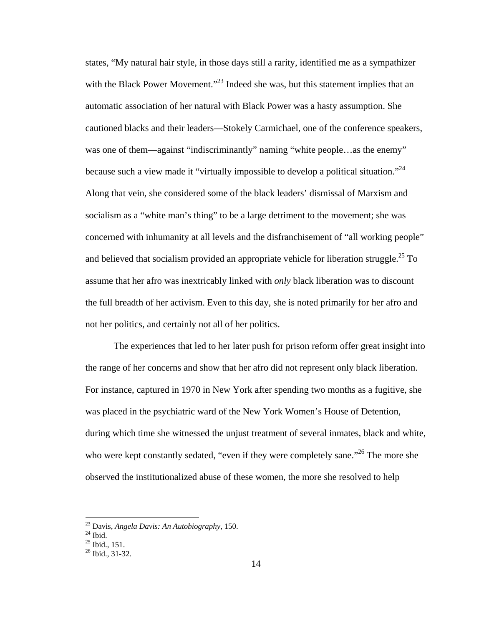states, "My natural hair style, in those days still a rarity, identified me as a sympathizer with the Black Power Movement."<sup>23</sup> Indeed she was, but this statement implies that an automatic association of her natural with Black Power was a hasty assumption. She cautioned blacks and their leaders—Stokely Carmichael, one of the conference speakers, was one of them—against "indiscriminantly" naming "white people...as the enemy" because such a view made it "virtually impossible to develop a political situation."<sup>24</sup> Along that vein, she considered some of the black leaders' dismissal of Marxism and socialism as a "white man's thing" to be a large detriment to the movement; she was concerned with inhumanity at all levels and the disfranchisement of "all working people" and believed that socialism provided an appropriate vehicle for liberation struggle.<sup>25</sup> To assume that her afro was inextricably linked with *only* black liberation was to discount the full breadth of her activism. Even to this day, she is noted primarily for her afro and not her politics, and certainly not all of her politics.

The experiences that led to her later push for prison reform offer great insight into the range of her concerns and show that her afro did not represent only black liberation. For instance, captured in 1970 in New York after spending two months as a fugitive, she was placed in the psychiatric ward of the New York Women's House of Detention, during which time she witnessed the unjust treatment of several inmates, black and white, who were kept constantly sedated, "even if they were completely sane."<sup>26</sup> The more she observed the institutionalized abuse of these women, the more she resolved to help

<sup>&</sup>lt;sup>23</sup> Davis, *Angela Davis: An Autobiography*, 150.<br><sup>24</sup> Ibid.

 $^{25}$  Ibid., 151.

<sup>26</sup> Ibid., 31-32.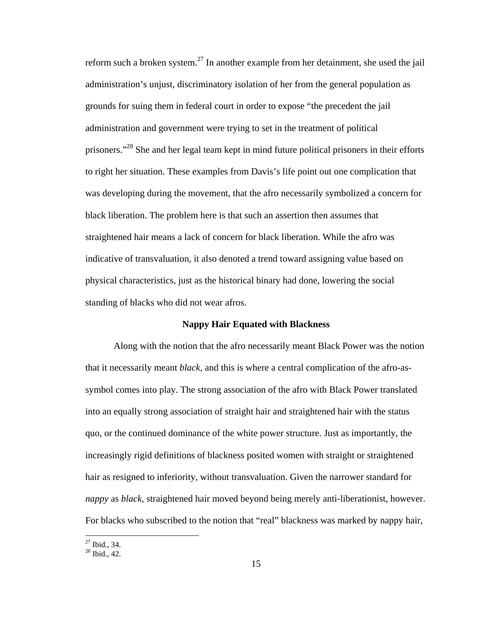reform such a broken system.<sup>27</sup> In another example from her detainment, she used the jail administration's unjust, discriminatory isolation of her from the general population as grounds for suing them in federal court in order to expose "the precedent the jail administration and government were trying to set in the treatment of political prisoners."<sup>28</sup> She and her legal team kept in mind future political prisoners in their efforts to right her situation. These examples from Davis's life point out one complication that was developing during the movement, that the afro necessarily symbolized a concern for black liberation. The problem here is that such an assertion then assumes that straightened hair means a lack of concern for black liberation. While the afro was indicative of transvaluation, it also denoted a trend toward assigning value based on physical characteristics, just as the historical binary had done, lowering the social standing of blacks who did not wear afros.

#### **Nappy Hair Equated with Blackness**

 Along with the notion that the afro necessarily meant Black Power was the notion that it necessarily meant *black*, and this is where a central complication of the afro-assymbol comes into play. The strong association of the afro with Black Power translated into an equally strong association of straight hair and straightened hair with the status quo, or the continued dominance of the white power structure. Just as importantly, the increasingly rigid definitions of blackness posited women with straight or straightened hair as resigned to inferiority, without transvaluation. Given the narrower standard for *nappy* as *black*, straightened hair moved beyond being merely anti-liberationist, however. For blacks who subscribed to the notion that "real" blackness was marked by nappy hair,

 $27$  Ibid., 34.

 $28$  Ibid., 42.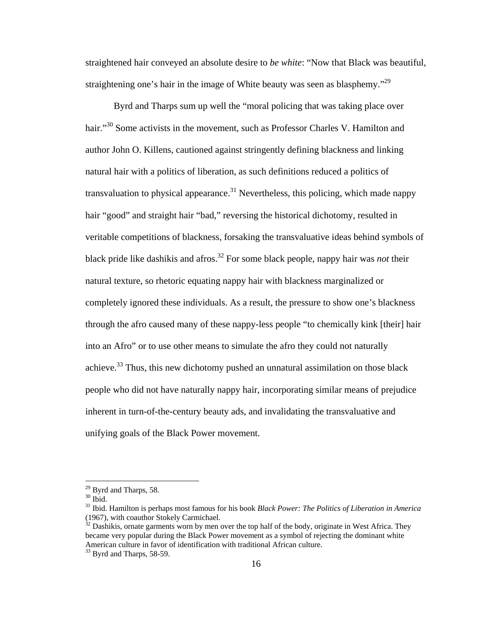straightened hair conveyed an absolute desire to *be white*: "Now that Black was beautiful, straightening one's hair in the image of White beauty was seen as blasphemy.<sup> $29$ </sup>

Byrd and Tharps sum up well the "moral policing that was taking place over hair."<sup>30</sup> Some activists in the movement, such as Professor Charles V. Hamilton and author John O. Killens, cautioned against stringently defining blackness and linking natural hair with a politics of liberation, as such definitions reduced a politics of transvaluation to physical appearance.<sup>31</sup> Nevertheless, this policing, which made nappy hair "good" and straight hair "bad," reversing the historical dichotomy, resulted in veritable competitions of blackness, forsaking the transvaluative ideas behind symbols of black pride like dashikis and afros.32 For some black people, nappy hair was *not* their natural texture, so rhetoric equating nappy hair with blackness marginalized or completely ignored these individuals. As a result, the pressure to show one's blackness through the afro caused many of these nappy-less people "to chemically kink [their] hair into an Afro" or to use other means to simulate the afro they could not naturally achieve.<sup>33</sup> Thus, this new dichotomy pushed an unnatural assimilation on those black people who did not have naturally nappy hair, incorporating similar means of prejudice inherent in turn-of-the-century beauty ads, and invalidating the transvaluative and unifying goals of the Black Power movement.

1

 $29$  Byrd and Tharps, 58.

 $^{30}$  Ibid.

<sup>31</sup> Ibid. Hamilton is perhaps most famous for his book *Black Power: The Politics of Liberation in America* (1967), with coauthor Stokely Carmichael.

 $32$  Dashikis, ornate garments worn by men over the top half of the body, originate in West Africa. They became very popular during the Black Power movement as a symbol of rejecting the dominant white American culture in favor of identification with traditional African culture.

 $\frac{33}{33}$  Byrd and Tharps, 58-59.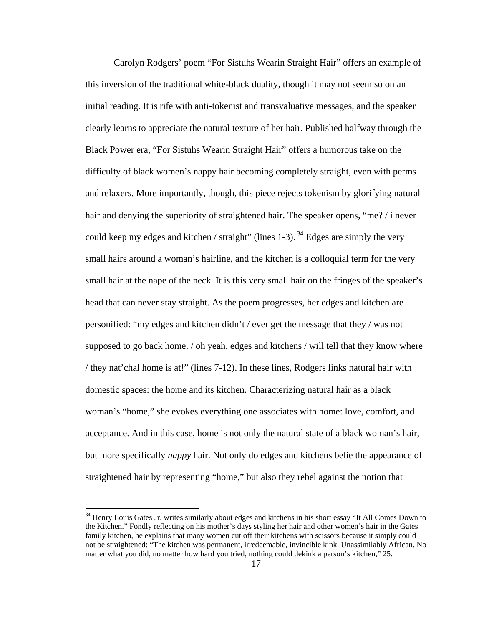Carolyn Rodgers' poem "For Sistuhs Wearin Straight Hair" offers an example of this inversion of the traditional white-black duality, though it may not seem so on an initial reading. It is rife with anti-tokenist and transvaluative messages, and the speaker clearly learns to appreciate the natural texture of her hair. Published halfway through the Black Power era, "For Sistuhs Wearin Straight Hair" offers a humorous take on the difficulty of black women's nappy hair becoming completely straight, even with perms and relaxers. More importantly, though, this piece rejects tokenism by glorifying natural hair and denying the superiority of straightened hair. The speaker opens, "me? / i never could keep my edges and kitchen / straight" (lines 1-3).  $34$  Edges are simply the very small hairs around a woman's hairline, and the kitchen is a colloquial term for the very small hair at the nape of the neck. It is this very small hair on the fringes of the speaker's head that can never stay straight. As the poem progresses, her edges and kitchen are personified: "my edges and kitchen didn't / ever get the message that they / was not supposed to go back home. / oh yeah. edges and kitchens / will tell that they know where / they nat'chal home is at!" (lines 7-12). In these lines, Rodgers links natural hair with domestic spaces: the home and its kitchen. Characterizing natural hair as a black woman's "home," she evokes everything one associates with home: love, comfort, and acceptance. And in this case, home is not only the natural state of a black woman's hair, but more specifically *nappy* hair. Not only do edges and kitchens belie the appearance of straightened hair by representing "home," but also they rebel against the notion that

<sup>&</sup>lt;sup>34</sup> Henry Louis Gates Jr. writes similarly about edges and kitchens in his short essay "It All Comes Down to the Kitchen." Fondly reflecting on his mother's days styling her hair and other women's hair in the Gates family kitchen, he explains that many women cut off their kitchens with scissors because it simply could not be straightened: "The kitchen was permanent, irredeemable, invincible kink. Unassimilably African. No matter what you did, no matter how hard you tried, nothing could dekink a person's kitchen," 25.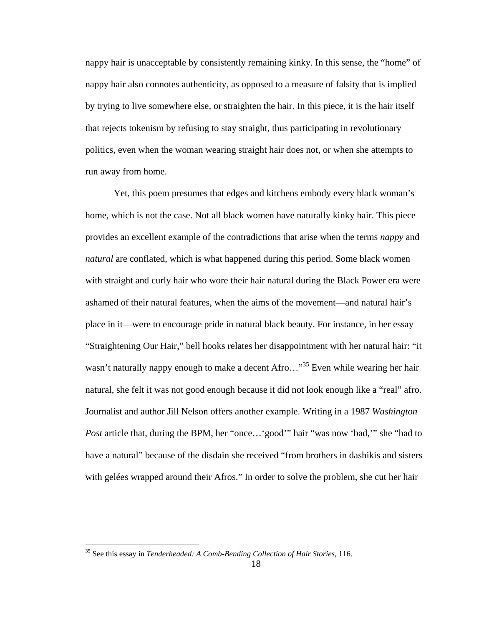nappy hair is unacceptable by consistently remaining kinky. In this sense, the "home" of nappy hair also connotes authenticity, as opposed to a measure of falsity that is implied by trying to live somewhere else, or straighten the hair. In this piece, it is the hair itself that rejects tokenism by refusing to stay straight, thus participating in revolutionary politics, even when the woman wearing straight hair does not, or when she attempts to run away from home.

Yet, this poem presumes that edges and kitchens embody every black woman's home, which is not the case. Not all black women have naturally kinky hair. This piece provides an excellent example of the contradictions that arise when the terms *nappy* and *natural* are conflated, which is what happened during this period. Some black women with straight and curly hair who wore their hair natural during the Black Power era were ashamed of their natural features, when the aims of the movement—and natural hair's place in it—were to encourage pride in natural black beauty. For instance, in her essay "Straightening Our Hair," bell hooks relates her disappointment with her natural hair: "it wasn't naturally nappy enough to make a decent Afro..."<sup>35</sup> Even while wearing her hair natural, she felt it was not good enough because it did not look enough like a "real" afro. Journalist and author Jill Nelson offers another example. Writing in a 1987 *Washington Post* article that, during the BPM, her "once…'good'" hair "was now 'bad,'" she "had to have a natural" because of the disdain she received "from brothers in dashikis and sisters with gelées wrapped around their Afros." In order to solve the problem, she cut her hair

<sup>35</sup> See this essay in *Tenderheaded: A Comb-Bending Collection of Hair Stories*, 116.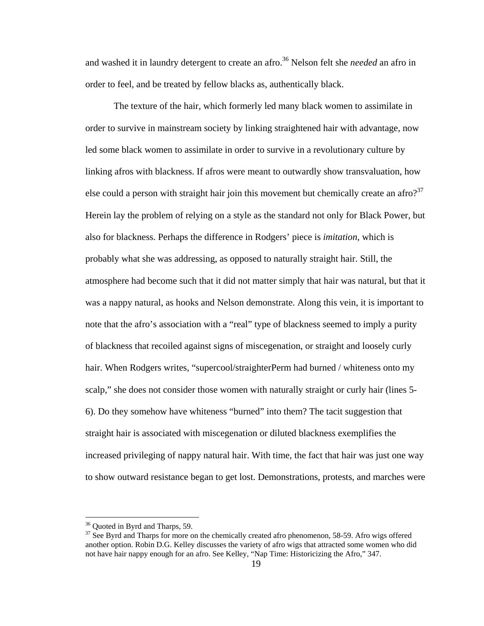and washed it in laundry detergent to create an afro.36 Nelson felt she *needed* an afro in order to feel, and be treated by fellow blacks as, authentically black.

The texture of the hair, which formerly led many black women to assimilate in order to survive in mainstream society by linking straightened hair with advantage, now led some black women to assimilate in order to survive in a revolutionary culture by linking afros with blackness. If afros were meant to outwardly show transvaluation, how else could a person with straight hair join this movement but chemically create an afro?<sup>37</sup> Herein lay the problem of relying on a style as the standard not only for Black Power, but also for blackness. Perhaps the difference in Rodgers' piece is *imitation*, which is probably what she was addressing, as opposed to naturally straight hair. Still, the atmosphere had become such that it did not matter simply that hair was natural, but that it was a nappy natural, as hooks and Nelson demonstrate. Along this vein, it is important to note that the afro's association with a "real" type of blackness seemed to imply a purity of blackness that recoiled against signs of miscegenation, or straight and loosely curly hair. When Rodgers writes, "supercool/straighterPerm had burned / whiteness onto my scalp," she does not consider those women with naturally straight or curly hair (lines 5- 6). Do they somehow have whiteness "burned" into them? The tacit suggestion that straight hair is associated with miscegenation or diluted blackness exemplifies the increased privileging of nappy natural hair. With time, the fact that hair was just one way to show outward resistance began to get lost. Demonstrations, protests, and marches were

1

<sup>&</sup>lt;sup>36</sup> Quoted in Byrd and Tharps, 59.

 $37$  See Byrd and Tharps for more on the chemically created afro phenomenon, 58-59. Afro wigs offered another option. Robin D.G. Kelley discusses the variety of afro wigs that attracted some women who did not have hair nappy enough for an afro. See Kelley, "Nap Time: Historicizing the Afro," 347.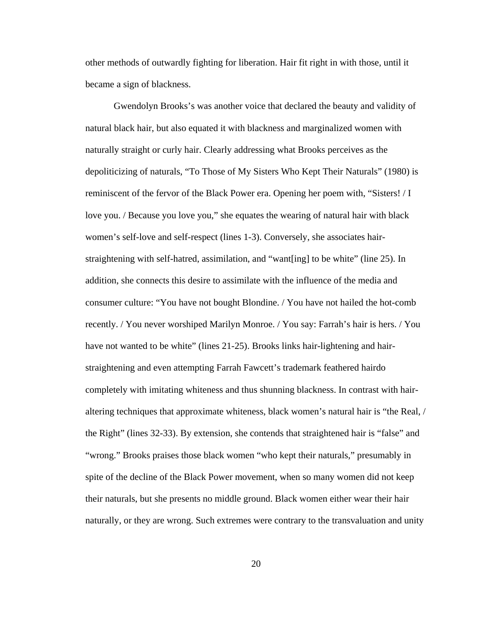other methods of outwardly fighting for liberation. Hair fit right in with those, until it became a sign of blackness.

Gwendolyn Brooks's was another voice that declared the beauty and validity of natural black hair, but also equated it with blackness and marginalized women with naturally straight or curly hair. Clearly addressing what Brooks perceives as the depoliticizing of naturals, "To Those of My Sisters Who Kept Their Naturals" (1980) is reminiscent of the fervor of the Black Power era. Opening her poem with, "Sisters! / I love you. / Because you love you," she equates the wearing of natural hair with black women's self-love and self-respect (lines 1-3). Conversely, she associates hairstraightening with self-hatred, assimilation, and "want[ing] to be white" (line 25). In addition, she connects this desire to assimilate with the influence of the media and consumer culture: "You have not bought Blondine. / You have not hailed the hot-comb recently. / You never worshiped Marilyn Monroe. / You say: Farrah's hair is hers. / You have not wanted to be white" (lines 21-25). Brooks links hair-lightening and hairstraightening and even attempting Farrah Fawcett's trademark feathered hairdo completely with imitating whiteness and thus shunning blackness. In contrast with hairaltering techniques that approximate whiteness, black women's natural hair is "the Real, / the Right" (lines 32-33). By extension, she contends that straightened hair is "false" and "wrong." Brooks praises those black women "who kept their naturals," presumably in spite of the decline of the Black Power movement, when so many women did not keep their naturals, but she presents no middle ground. Black women either wear their hair naturally, or they are wrong. Such extremes were contrary to the transvaluation and unity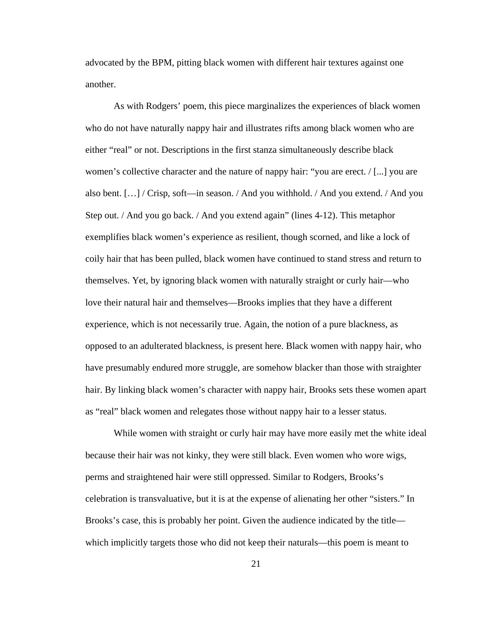advocated by the BPM, pitting black women with different hair textures against one another.

As with Rodgers' poem, this piece marginalizes the experiences of black women who do not have naturally nappy hair and illustrates rifts among black women who are either "real" or not. Descriptions in the first stanza simultaneously describe black women's collective character and the nature of nappy hair: "you are erect.  $/$ [...] you are also bent. […] / Crisp, soft—in season. / And you withhold. / And you extend. / And you Step out. / And you go back. / And you extend again" (lines 4-12). This metaphor exemplifies black women's experience as resilient, though scorned, and like a lock of coily hair that has been pulled, black women have continued to stand stress and return to themselves. Yet, by ignoring black women with naturally straight or curly hair—who love their natural hair and themselves—Brooks implies that they have a different experience, which is not necessarily true. Again, the notion of a pure blackness, as opposed to an adulterated blackness, is present here. Black women with nappy hair, who have presumably endured more struggle, are somehow blacker than those with straighter hair. By linking black women's character with nappy hair, Brooks sets these women apart as "real" black women and relegates those without nappy hair to a lesser status.

While women with straight or curly hair may have more easily met the white ideal because their hair was not kinky, they were still black. Even women who wore wigs, perms and straightened hair were still oppressed. Similar to Rodgers, Brooks's celebration is transvaluative, but it is at the expense of alienating her other "sisters." In Brooks's case, this is probably her point. Given the audience indicated by the title which implicitly targets those who did not keep their naturals—this poem is meant to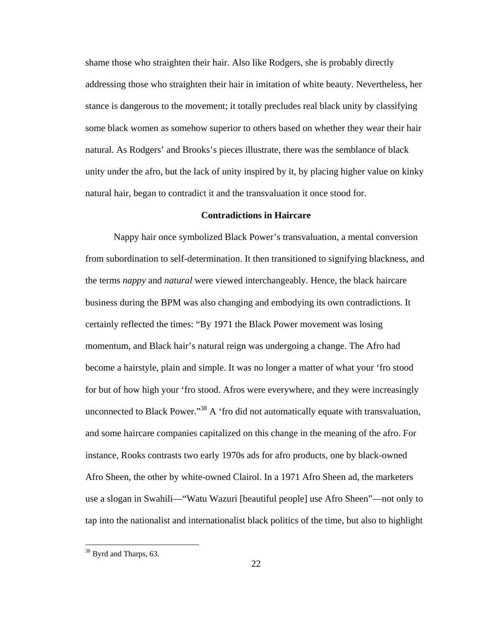shame those who straighten their hair. Also like Rodgers, she is probably directly addressing those who straighten their hair in imitation of white beauty. Nevertheless, her stance is dangerous to the movement; it totally precludes real black unity by classifying some black women as somehow superior to others based on whether they wear their hair natural. As Rodgers' and Brooks's pieces illustrate, there was the semblance of black unity under the afro, but the lack of unity inspired by it, by placing higher value on kinky natural hair, began to contradict it and the transvaluation it once stood for.

#### **Contradictions in Haircare**

 Nappy hair once symbolized Black Power's transvaluation, a mental conversion from subordination to self-determination. It then transitioned to signifying blackness, and the terms *nappy* and *natural* were viewed interchangeably. Hence, the black haircare business during the BPM was also changing and embodying its own contradictions. It certainly reflected the times: "By 1971 the Black Power movement was losing momentum, and Black hair's natural reign was undergoing a change. The Afro had become a hairstyle, plain and simple. It was no longer a matter of what your 'fro stood for but of how high your 'fro stood. Afros were everywhere, and they were increasingly unconnected to Black Power."<sup>38</sup> A 'fro did not automatically equate with transvaluation, and some haircare companies capitalized on this change in the meaning of the afro. For instance, Rooks contrasts two early 1970s ads for afro products, one by black-owned Afro Sheen, the other by white-owned Clairol. In a 1971 Afro Sheen ad, the marketers use a slogan in Swahili—"Watu Wazuri [beautiful people] use Afro Sheen"—not only to tap into the nationalist and internationalist black politics of the time, but also to highlight

<sup>&</sup>lt;sup>38</sup> Byrd and Tharps, 63.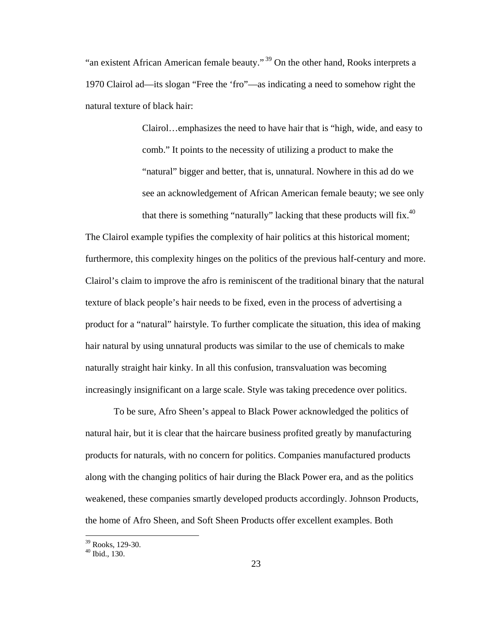"an existent African American female beauty."<sup>39</sup> On the other hand, Rooks interprets a 1970 Clairol ad—its slogan "Free the 'fro"—as indicating a need to somehow right the natural texture of black hair:

> Clairol…emphasizes the need to have hair that is "high, wide, and easy to comb." It points to the necessity of utilizing a product to make the "natural" bigger and better, that is, unnatural. Nowhere in this ad do we see an acknowledgement of African American female beauty; we see only that there is something "naturally" lacking that these products will fix.<sup>40</sup>

The Clairol example typifies the complexity of hair politics at this historical moment; furthermore, this complexity hinges on the politics of the previous half-century and more. Clairol's claim to improve the afro is reminiscent of the traditional binary that the natural texture of black people's hair needs to be fixed, even in the process of advertising a product for a "natural" hairstyle. To further complicate the situation, this idea of making hair natural by using unnatural products was similar to the use of chemicals to make naturally straight hair kinky. In all this confusion, transvaluation was becoming increasingly insignificant on a large scale. Style was taking precedence over politics.

To be sure, Afro Sheen's appeal to Black Power acknowledged the politics of natural hair, but it is clear that the haircare business profited greatly by manufacturing products for naturals, with no concern for politics. Companies manufactured products along with the changing politics of hair during the Black Power era, and as the politics weakened, these companies smartly developed products accordingly. Johnson Products, the home of Afro Sheen, and Soft Sheen Products offer excellent examples. Both

<sup>39</sup> Rooks, 129-30.

 $40$  Ihid., 130.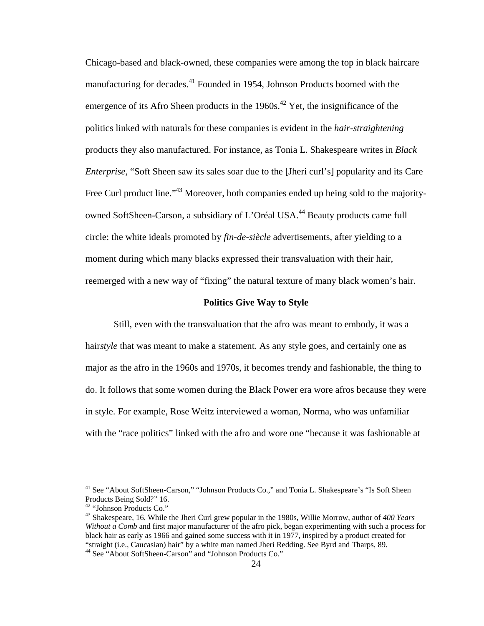Chicago-based and black-owned, these companies were among the top in black haircare manufacturing for decades.<sup>41</sup> Founded in 1954, Johnson Products boomed with the emergence of its Afro Sheen products in the  $1960s$ <sup>42</sup> Yet, the insignificance of the politics linked with naturals for these companies is evident in the *hair-straightening* products they also manufactured. For instance, as Tonia L. Shakespeare writes in *Black Enterprise*, "Soft Sheen saw its sales soar due to the [Jheri curl's] popularity and its Care Free Curl product line."<sup>43</sup> Moreover, both companies ended up being sold to the majorityowned SoftSheen-Carson, a subsidiary of L'Oréal USA.44 Beauty products came full circle: the white ideals promoted by *fin-de-siècle* advertisements, after yielding to a moment during which many blacks expressed their transvaluation with their hair, reemerged with a new way of "fixing" the natural texture of many black women's hair.

#### **Politics Give Way to Style**

 Still, even with the transvaluation that the afro was meant to embody, it was a hair*style* that was meant to make a statement. As any style goes, and certainly one as major as the afro in the 1960s and 1970s, it becomes trendy and fashionable, the thing to do. It follows that some women during the Black Power era wore afros because they were in style. For example, Rose Weitz interviewed a woman, Norma, who was unfamiliar with the "race politics" linked with the afro and wore one "because it was fashionable at

<sup>&</sup>lt;sup>41</sup> See "About SoftSheen-Carson," "Johnson Products Co.," and Tonia L. Shakespeare's "Is Soft Sheen Products Being Sold?" 16.

<sup>42 &</sup>quot;Johnson Products Co."

<sup>43</sup> Shakespeare, 16. While the Jheri Curl grew popular in the 1980s, Willie Morrow, author of *400 Years Without a Comb* and first major manufacturer of the afro pick, began experimenting with such a process for black hair as early as 1966 and gained some success with it in 1977, inspired by a product created for "straight (i.e., Caucasian) hair" by a white man named Jheri Redding. See Byrd and Tharps, 89.

<sup>44</sup> See "About SoftSheen-Carson" and "Johnson Products Co."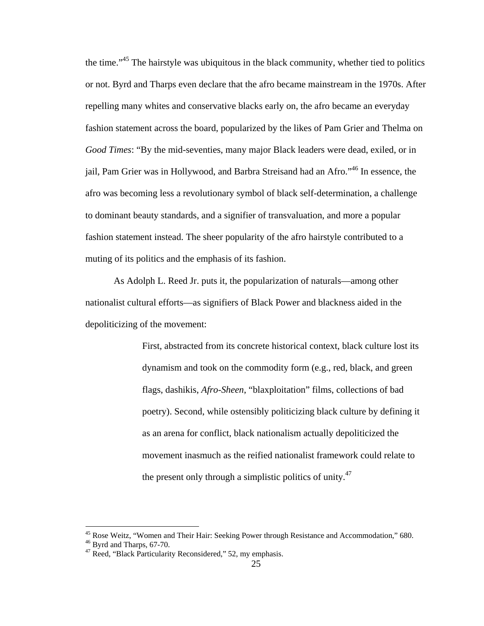the time."45 The hairstyle was ubiquitous in the black community, whether tied to politics or not. Byrd and Tharps even declare that the afro became mainstream in the 1970s. After repelling many whites and conservative blacks early on, the afro became an everyday fashion statement across the board, popularized by the likes of Pam Grier and Thelma on *Good Times*: "By the mid-seventies, many major Black leaders were dead, exiled, or in jail, Pam Grier was in Hollywood, and Barbra Streisand had an Afro."46 In essence, the afro was becoming less a revolutionary symbol of black self-determination, a challenge to dominant beauty standards, and a signifier of transvaluation, and more a popular fashion statement instead. The sheer popularity of the afro hairstyle contributed to a muting of its politics and the emphasis of its fashion.

As Adolph L. Reed Jr. puts it, the popularization of naturals—among other nationalist cultural efforts—as signifiers of Black Power and blackness aided in the depoliticizing of the movement:

> First, abstracted from its concrete historical context, black culture lost its dynamism and took on the commodity form (e.g., red, black, and green flags, dashikis, *Afro-Sheen*, "blaxploitation" films, collections of bad poetry). Second, while ostensibly politicizing black culture by defining it as an arena for conflict, black nationalism actually depoliticized the movement inasmuch as the reified nationalist framework could relate to the present only through a simplistic politics of unity. $47$

<sup>&</sup>lt;sup>45</sup> Rose Weitz, "Women and Their Hair: Seeking Power through Resistance and Accommodation," 680.

<sup>46</sup> Byrd and Tharps, 67-70.

 $47$  Reed, "Black Particularity Reconsidered," 52, my emphasis.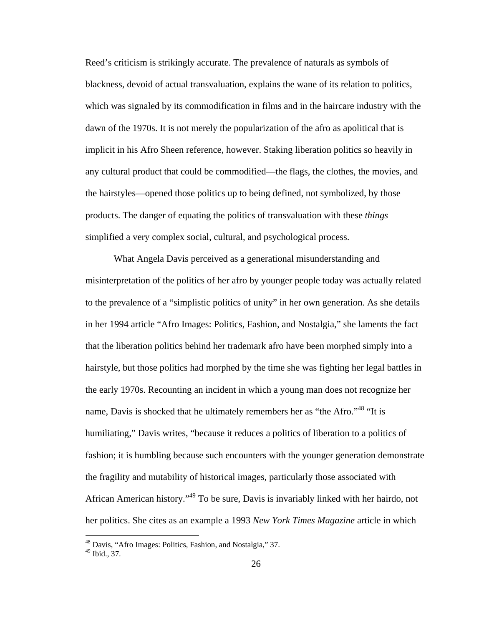Reed's criticism is strikingly accurate. The prevalence of naturals as symbols of blackness, devoid of actual transvaluation, explains the wane of its relation to politics, which was signaled by its commodification in films and in the haircare industry with the dawn of the 1970s. It is not merely the popularization of the afro as apolitical that is implicit in his Afro Sheen reference, however. Staking liberation politics so heavily in any cultural product that could be commodified—the flags, the clothes, the movies, and the hairstyles—opened those politics up to being defined, not symbolized, by those products. The danger of equating the politics of transvaluation with these *things* simplified a very complex social, cultural, and psychological process.

What Angela Davis perceived as a generational misunderstanding and misinterpretation of the politics of her afro by younger people today was actually related to the prevalence of a "simplistic politics of unity" in her own generation. As she details in her 1994 article "Afro Images: Politics, Fashion, and Nostalgia," she laments the fact that the liberation politics behind her trademark afro have been morphed simply into a hairstyle, but those politics had morphed by the time she was fighting her legal battles in the early 1970s. Recounting an incident in which a young man does not recognize her name, Davis is shocked that he ultimately remembers her as "the Afro."<sup>48</sup> "It is humiliating," Davis writes, "because it reduces a politics of liberation to a politics of fashion; it is humbling because such encounters with the younger generation demonstrate the fragility and mutability of historical images, particularly those associated with African American history."49 To be sure, Davis is invariably linked with her hairdo, not her politics. She cites as an example a 1993 *New York Times Magazine* article in which

<sup>48</sup> Davis, "Afro Images: Politics, Fashion, and Nostalgia," 37.

<sup>49</sup> Ibid., 37.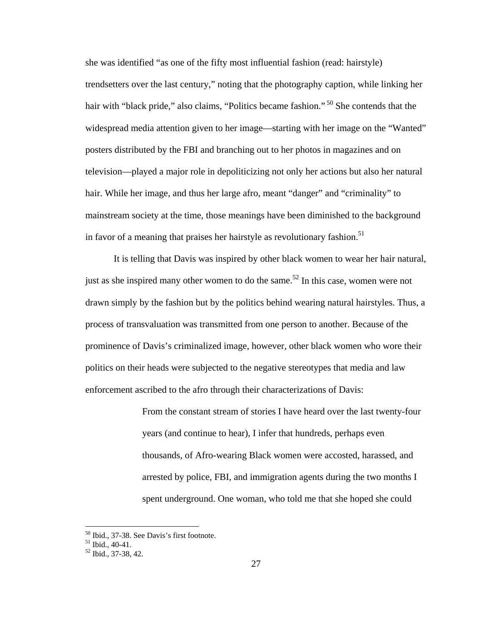she was identified "as one of the fifty most influential fashion (read: hairstyle) trendsetters over the last century," noting that the photography caption, while linking her hair with "black pride," also claims, "Politics became fashion."<sup>50</sup> She contends that the widespread media attention given to her image—starting with her image on the "Wanted" posters distributed by the FBI and branching out to her photos in magazines and on television—played a major role in depoliticizing not only her actions but also her natural hair. While her image, and thus her large afro, meant "danger" and "criminality" to mainstream society at the time, those meanings have been diminished to the background in favor of a meaning that praises her hairstyle as revolutionary fashion.<sup>51</sup>

 It is telling that Davis was inspired by other black women to wear her hair natural, just as she inspired many other women to do the same.<sup>52</sup> In this case, women were not drawn simply by the fashion but by the politics behind wearing natural hairstyles. Thus, a process of transvaluation was transmitted from one person to another. Because of the prominence of Davis's criminalized image, however, other black women who wore their politics on their heads were subjected to the negative stereotypes that media and law enforcement ascribed to the afro through their characterizations of Davis:

> From the constant stream of stories I have heard over the last twenty-four years (and continue to hear), I infer that hundreds, perhaps even thousands, of Afro-wearing Black women were accosted, harassed, and arrested by police, FBI, and immigration agents during the two months I spent underground. One woman, who told me that she hoped she could

<u>.</u>

<sup>50</sup> Ibid., 37-38. See Davis's first footnote.

 $51$  Ibid., 40-41.

<sup>52</sup> Ibid., 37-38, 42.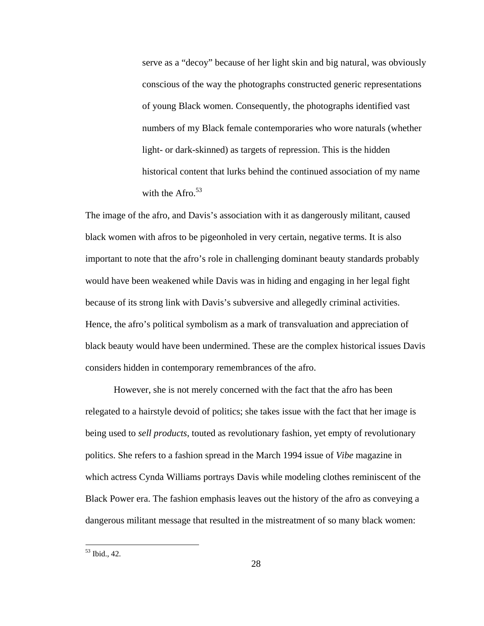serve as a "decoy" because of her light skin and big natural, was obviously conscious of the way the photographs constructed generic representations of young Black women. Consequently, the photographs identified vast numbers of my Black female contemporaries who wore naturals (whether light- or dark-skinned) as targets of repression. This is the hidden historical content that lurks behind the continued association of my name with the Afro. $53$ 

The image of the afro, and Davis's association with it as dangerously militant, caused black women with afros to be pigeonholed in very certain, negative terms. It is also important to note that the afro's role in challenging dominant beauty standards probably would have been weakened while Davis was in hiding and engaging in her legal fight because of its strong link with Davis's subversive and allegedly criminal activities. Hence, the afro's political symbolism as a mark of transvaluation and appreciation of black beauty would have been undermined. These are the complex historical issues Davis considers hidden in contemporary remembrances of the afro.

However, she is not merely concerned with the fact that the afro has been relegated to a hairstyle devoid of politics; she takes issue with the fact that her image is being used to *sell products*, touted as revolutionary fashion, yet empty of revolutionary politics. She refers to a fashion spread in the March 1994 issue of *Vibe* magazine in which actress Cynda Williams portrays Davis while modeling clothes reminiscent of the Black Power era. The fashion emphasis leaves out the history of the afro as conveying a dangerous militant message that resulted in the mistreatment of so many black women:

<sup>53</sup> Ibid., 42.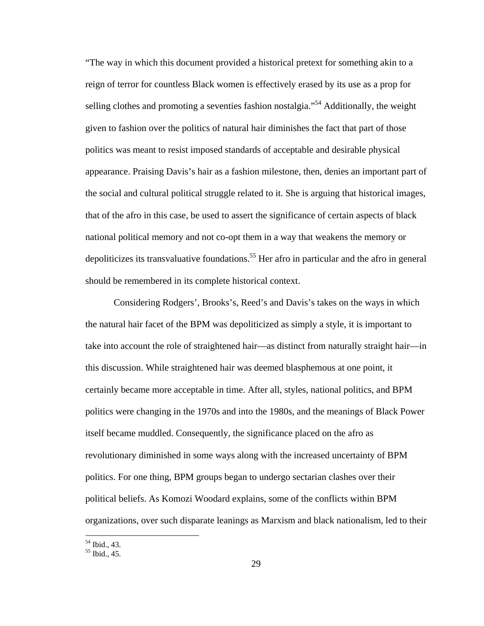"The way in which this document provided a historical pretext for something akin to a reign of terror for countless Black women is effectively erased by its use as a prop for selling clothes and promoting a seventies fashion nostalgia."<sup>54</sup> Additionally, the weight given to fashion over the politics of natural hair diminishes the fact that part of those politics was meant to resist imposed standards of acceptable and desirable physical appearance. Praising Davis's hair as a fashion milestone, then, denies an important part of the social and cultural political struggle related to it. She is arguing that historical images, that of the afro in this case, be used to assert the significance of certain aspects of black national political memory and not co-opt them in a way that weakens the memory or depoliticizes its transvaluative foundations.<sup>55</sup> Her afro in particular and the afro in general should be remembered in its complete historical context.

Considering Rodgers', Brooks's, Reed's and Davis's takes on the ways in which the natural hair facet of the BPM was depoliticized as simply a style, it is important to take into account the role of straightened hair—as distinct from naturally straight hair—in this discussion. While straightened hair was deemed blasphemous at one point, it certainly became more acceptable in time. After all, styles, national politics, and BPM politics were changing in the 1970s and into the 1980s, and the meanings of Black Power itself became muddled. Consequently, the significance placed on the afro as revolutionary diminished in some ways along with the increased uncertainty of BPM politics. For one thing, BPM groups began to undergo sectarian clashes over their political beliefs. As Komozi Woodard explains, some of the conflicts within BPM organizations, over such disparate leanings as Marxism and black nationalism, led to their

<sup>54</sup> Ibid., 43.

<sup>55</sup> Ibid., 45.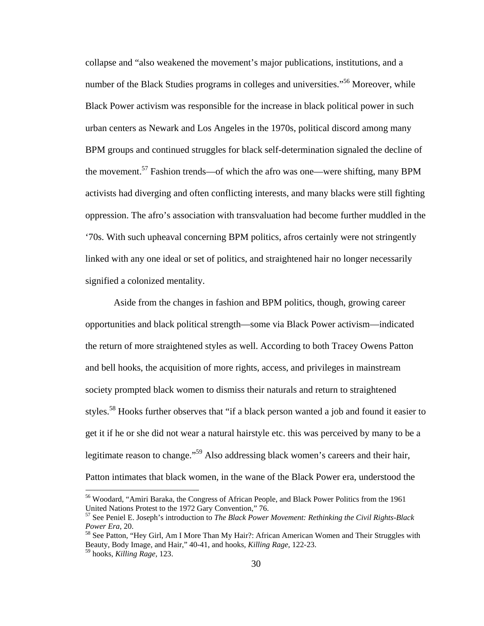collapse and "also weakened the movement's major publications, institutions, and a number of the Black Studies programs in colleges and universities."<sup>56</sup> Moreover, while Black Power activism was responsible for the increase in black political power in such urban centers as Newark and Los Angeles in the 1970s, political discord among many BPM groups and continued struggles for black self-determination signaled the decline of the movement.<sup>57</sup> Fashion trends—of which the afro was one—were shifting, many BPM activists had diverging and often conflicting interests, and many blacks were still fighting oppression. The afro's association with transvaluation had become further muddled in the '70s. With such upheaval concerning BPM politics, afros certainly were not stringently linked with any one ideal or set of politics, and straightened hair no longer necessarily signified a colonized mentality.

Aside from the changes in fashion and BPM politics, though, growing career opportunities and black political strength—some via Black Power activism—indicated the return of more straightened styles as well. According to both Tracey Owens Patton and bell hooks, the acquisition of more rights, access, and privileges in mainstream society prompted black women to dismiss their naturals and return to straightened styles.<sup>58</sup> Hooks further observes that "if a black person wanted a job and found it easier to get it if he or she did not wear a natural hairstyle etc. this was perceived by many to be a legitimate reason to change."59 Also addressing black women's careers and their hair, Patton intimates that black women, in the wane of the Black Power era, understood the

1

<sup>&</sup>lt;sup>56</sup> Woodard, "Amiri Baraka, the Congress of African People, and Black Power Politics from the 1961 United Nations Protest to the 1972 Gary Convention," 76.

<sup>57</sup> See Peniel E. Joseph's introduction to *The Black Power Movement: Rethinking the Civil Rights-Black Power Era*, 20.<br><sup>58</sup> See Patton, "Hey Girl, Am I More Than My Hair?: African American Women and Their Struggles with

Beauty, Body Image, and Hair," 40-41, and hooks, *Killing Rage*, 122-23.

<sup>59</sup> hooks, *Killing Rage*, 123.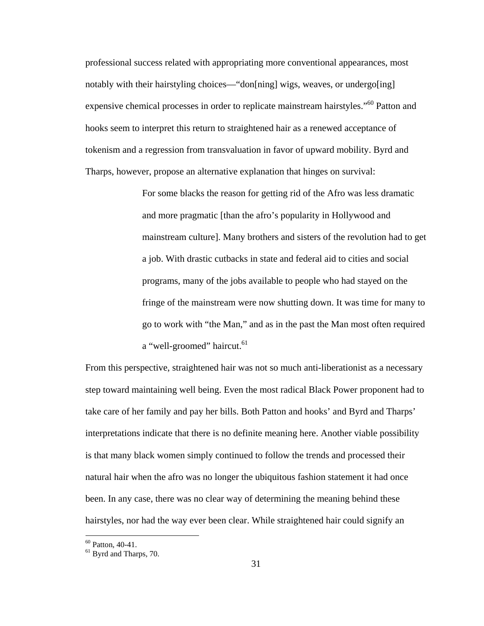professional success related with appropriating more conventional appearances, most notably with their hairstyling choices—"don[ning] wigs, weaves, or undergo[ing] expensive chemical processes in order to replicate mainstream hairstyles."<sup>60</sup> Patton and hooks seem to interpret this return to straightened hair as a renewed acceptance of tokenism and a regression from transvaluation in favor of upward mobility. Byrd and Tharps, however, propose an alternative explanation that hinges on survival:

> For some blacks the reason for getting rid of the Afro was less dramatic and more pragmatic [than the afro's popularity in Hollywood and mainstream culture]. Many brothers and sisters of the revolution had to get a job. With drastic cutbacks in state and federal aid to cities and social programs, many of the jobs available to people who had stayed on the fringe of the mainstream were now shutting down. It was time for many to go to work with "the Man," and as in the past the Man most often required a "well-groomed" haircut.<sup>61</sup>

From this perspective, straightened hair was not so much anti-liberationist as a necessary step toward maintaining well being. Even the most radical Black Power proponent had to take care of her family and pay her bills. Both Patton and hooks' and Byrd and Tharps' interpretations indicate that there is no definite meaning here. Another viable possibility is that many black women simply continued to follow the trends and processed their natural hair when the afro was no longer the ubiquitous fashion statement it had once been. In any case, there was no clear way of determining the meaning behind these hairstyles, nor had the way ever been clear. While straightened hair could signify an

<sup>60</sup> Patton, 40-41.

<sup>&</sup>lt;sup>61</sup> Byrd and Tharps, 70.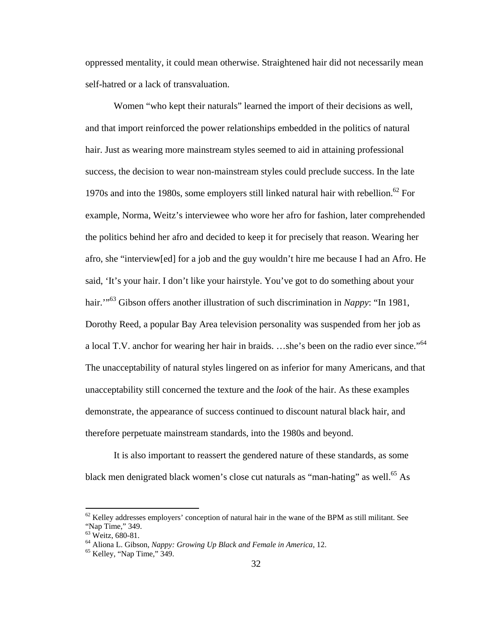oppressed mentality, it could mean otherwise. Straightened hair did not necessarily mean self-hatred or a lack of transvaluation.

Women "who kept their naturals" learned the import of their decisions as well, and that import reinforced the power relationships embedded in the politics of natural hair. Just as wearing more mainstream styles seemed to aid in attaining professional success, the decision to wear non-mainstream styles could preclude success. In the late 1970s and into the 1980s, some employers still linked natural hair with rebellion.<sup>62</sup> For example, Norma, Weitz's interviewee who wore her afro for fashion, later comprehended the politics behind her afro and decided to keep it for precisely that reason. Wearing her afro, she "interview[ed] for a job and the guy wouldn't hire me because I had an Afro. He said, 'It's your hair. I don't like your hairstyle. You've got to do something about your hair.<sup>"63</sup> Gibson offers another illustration of such discrimination in *Nappy*: "In 1981, Dorothy Reed, a popular Bay Area television personality was suspended from her job as a local T.V. anchor for wearing her hair in braids. ...she's been on the radio ever since."<sup>64</sup> The unacceptability of natural styles lingered on as inferior for many Americans, and that unacceptability still concerned the texture and the *look* of the hair. As these examples demonstrate, the appearance of success continued to discount natural black hair, and therefore perpetuate mainstream standards, into the 1980s and beyond.

It is also important to reassert the gendered nature of these standards, as some black men denigrated black women's close cut naturals as "man-hating" as well.<sup>65</sup> As

1

 $62$  Kelley addresses employers' conception of natural hair in the wane of the BPM as still militant. See "Nap Time," 349.

<sup>&</sup>lt;sup>63</sup> Weitz, 680-81.

<sup>&</sup>lt;sup>64</sup> Aliona L. Gibson, *Nappy: Growing Up Black and Female in America*, 12.<br><sup>65</sup> Kelley, "Nap Time," 349.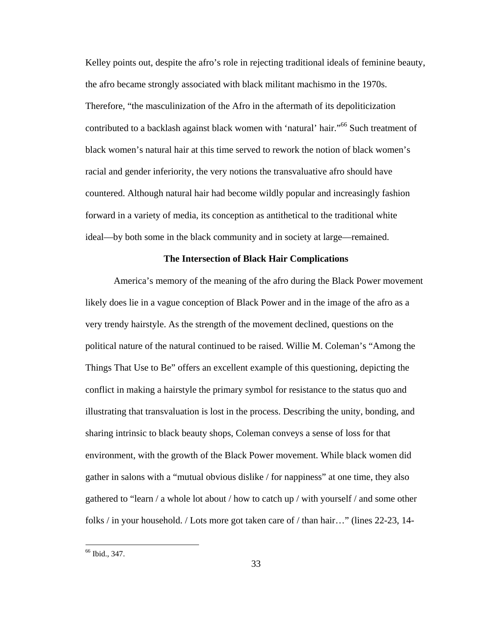Kelley points out, despite the afro's role in rejecting traditional ideals of feminine beauty, the afro became strongly associated with black militant machismo in the 1970s. Therefore, "the masculinization of the Afro in the aftermath of its depoliticization contributed to a backlash against black women with 'natural' hair."<sup>66</sup> Such treatment of black women's natural hair at this time served to rework the notion of black women's racial and gender inferiority, the very notions the transvaluative afro should have countered. Although natural hair had become wildly popular and increasingly fashion forward in a variety of media, its conception as antithetical to the traditional white ideal—by both some in the black community and in society at large—remained.

#### **The Intersection of Black Hair Complications**

 America's memory of the meaning of the afro during the Black Power movement likely does lie in a vague conception of Black Power and in the image of the afro as a very trendy hairstyle. As the strength of the movement declined, questions on the political nature of the natural continued to be raised. Willie M. Coleman's "Among the Things That Use to Be" offers an excellent example of this questioning, depicting the conflict in making a hairstyle the primary symbol for resistance to the status quo and illustrating that transvaluation is lost in the process. Describing the unity, bonding, and sharing intrinsic to black beauty shops, Coleman conveys a sense of loss for that environment, with the growth of the Black Power movement. While black women did gather in salons with a "mutual obvious dislike / for nappiness" at one time, they also gathered to "learn / a whole lot about / how to catch up / with yourself / and some other folks / in your household. / Lots more got taken care of / than hair…" (lines 22-23, 14-

<sup>66</sup> Ibid., 347.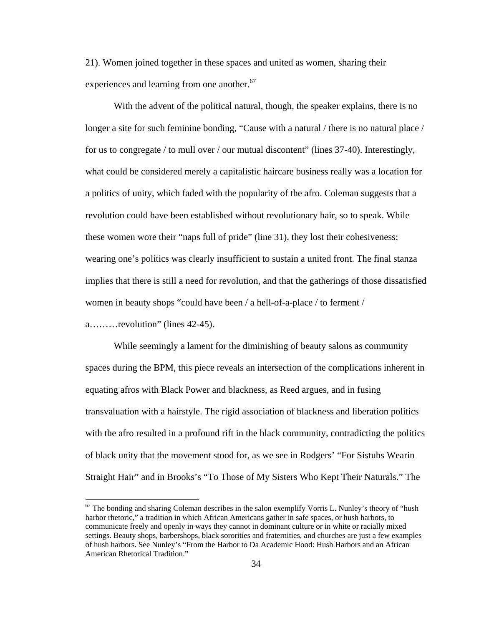21). Women joined together in these spaces and united as women, sharing their experiences and learning from one another.<sup>67</sup>

With the advent of the political natural, though, the speaker explains, there is no longer a site for such feminine bonding, "Cause with a natural / there is no natural place / for us to congregate / to mull over / our mutual discontent" (lines 37-40). Interestingly, what could be considered merely a capitalistic haircare business really was a location for a politics of unity, which faded with the popularity of the afro. Coleman suggests that a revolution could have been established without revolutionary hair, so to speak. While these women wore their "naps full of pride" (line 31), they lost their cohesiveness; wearing one's politics was clearly insufficient to sustain a united front. The final stanza implies that there is still a need for revolution, and that the gatherings of those dissatisfied women in beauty shops "could have been / a hell-of-a-place / to ferment /

a………revolution" (lines 42-45).

 $\overline{a}$ 

While seemingly a lament for the diminishing of beauty salons as community spaces during the BPM, this piece reveals an intersection of the complications inherent in equating afros with Black Power and blackness, as Reed argues, and in fusing transvaluation with a hairstyle. The rigid association of blackness and liberation politics with the afro resulted in a profound rift in the black community, contradicting the politics of black unity that the movement stood for, as we see in Rodgers' "For Sistuhs Wearin Straight Hair" and in Brooks's "To Those of My Sisters Who Kept Their Naturals." The

 $67$  The bonding and sharing Coleman describes in the salon exemplify Vorris L. Nunley's theory of "hush" harbor rhetoric," a tradition in which African Americans gather in safe spaces, or hush harbors, to communicate freely and openly in ways they cannot in dominant culture or in white or racially mixed settings. Beauty shops, barbershops, black sororities and fraternities, and churches are just a few examples of hush harbors. See Nunley's "From the Harbor to Da Academic Hood: Hush Harbors and an African American Rhetorical Tradition."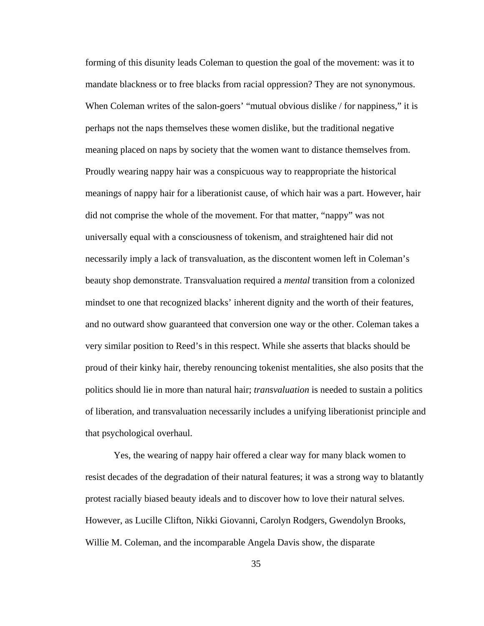forming of this disunity leads Coleman to question the goal of the movement: was it to mandate blackness or to free blacks from racial oppression? They are not synonymous. When Coleman writes of the salon-goers' "mutual obvious dislike / for nappiness," it is perhaps not the naps themselves these women dislike, but the traditional negative meaning placed on naps by society that the women want to distance themselves from. Proudly wearing nappy hair was a conspicuous way to reappropriate the historical meanings of nappy hair for a liberationist cause, of which hair was a part. However, hair did not comprise the whole of the movement. For that matter, "nappy" was not universally equal with a consciousness of tokenism, and straightened hair did not necessarily imply a lack of transvaluation, as the discontent women left in Coleman's beauty shop demonstrate. Transvaluation required a *mental* transition from a colonized mindset to one that recognized blacks' inherent dignity and the worth of their features, and no outward show guaranteed that conversion one way or the other. Coleman takes a very similar position to Reed's in this respect. While she asserts that blacks should be proud of their kinky hair, thereby renouncing tokenist mentalities, she also posits that the politics should lie in more than natural hair; *transvaluation* is needed to sustain a politics of liberation, and transvaluation necessarily includes a unifying liberationist principle and that psychological overhaul.

Yes, the wearing of nappy hair offered a clear way for many black women to resist decades of the degradation of their natural features; it was a strong way to blatantly protest racially biased beauty ideals and to discover how to love their natural selves. However, as Lucille Clifton, Nikki Giovanni, Carolyn Rodgers, Gwendolyn Brooks, Willie M. Coleman, and the incomparable Angela Davis show, the disparate

35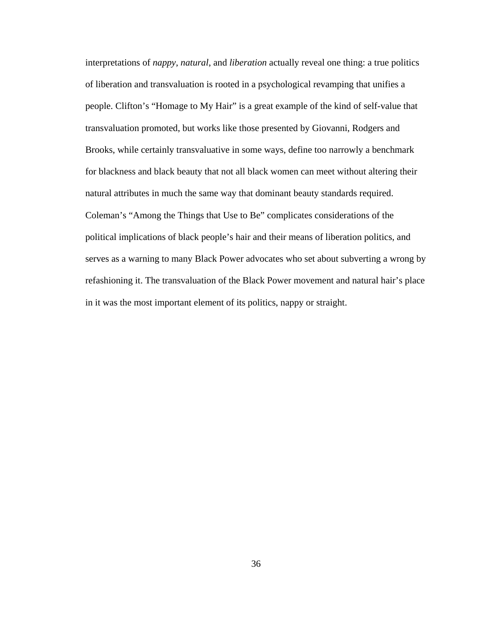interpretations of *nappy*, *natural*, and *liberation* actually reveal one thing: a true politics of liberation and transvaluation is rooted in a psychological revamping that unifies a people. Clifton's "Homage to My Hair" is a great example of the kind of self-value that transvaluation promoted, but works like those presented by Giovanni, Rodgers and Brooks, while certainly transvaluative in some ways, define too narrowly a benchmark for blackness and black beauty that not all black women can meet without altering their natural attributes in much the same way that dominant beauty standards required. Coleman's "Among the Things that Use to Be" complicates considerations of the political implications of black people's hair and their means of liberation politics, and serves as a warning to many Black Power advocates who set about subverting a wrong by refashioning it. The transvaluation of the Black Power movement and natural hair's place in it was the most important element of its politics, nappy or straight.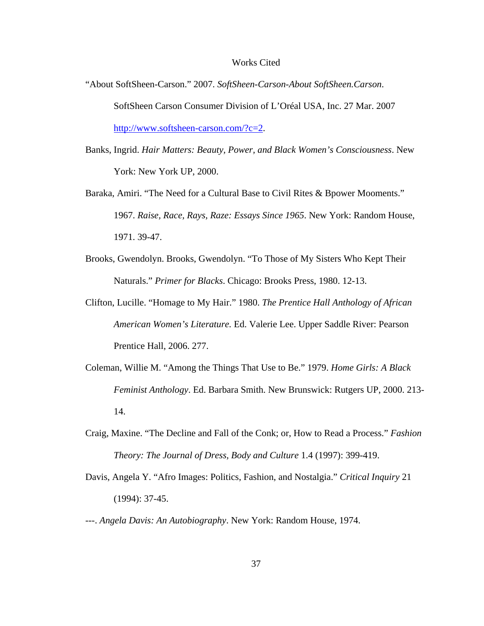#### Works Cited

- "About SoftSheen-Carson." 2007. *SoftSheen-Carson-About SoftSheen.Carson*. SoftSheen Carson Consumer Division of L'Oréal USA, Inc. 27 Mar. 2007 http://www.softsheen-carson.com/?c=2.
- Banks, Ingrid. *Hair Matters: Beauty, Power, and Black Women's Consciousness*. New York: New York UP, 2000.
- Baraka, Amiri. "The Need for a Cultural Base to Civil Rites & Bpower Mooments." 1967. *Raise, Race, Rays, Raze: Essays Since 1965*. New York: Random House, 1971. 39-47.
- Brooks, Gwendolyn. Brooks, Gwendolyn. "To Those of My Sisters Who Kept Their Naturals." *Primer for Blacks*. Chicago: Brooks Press, 1980. 12-13.
- Clifton, Lucille. "Homage to My Hair." 1980. *The Prentice Hall Anthology of African American Women's Literature.* Ed. Valerie Lee. Upper Saddle River: Pearson Prentice Hall, 2006. 277.
- Coleman, Willie M. "Among the Things That Use to Be." 1979. *Home Girls: A Black Feminist Anthology*. Ed. Barbara Smith. New Brunswick: Rutgers UP, 2000. 213- 14.
- Craig, Maxine. "The Decline and Fall of the Conk; or, How to Read a Process." *Fashion Theory: The Journal of Dress, Body and Culture* 1.4 (1997): 399-419.
- Davis, Angela Y. "Afro Images: Politics, Fashion, and Nostalgia." *Critical Inquiry* 21 (1994): 37-45.
- ---. *Angela Davis: An Autobiography*. New York: Random House, 1974.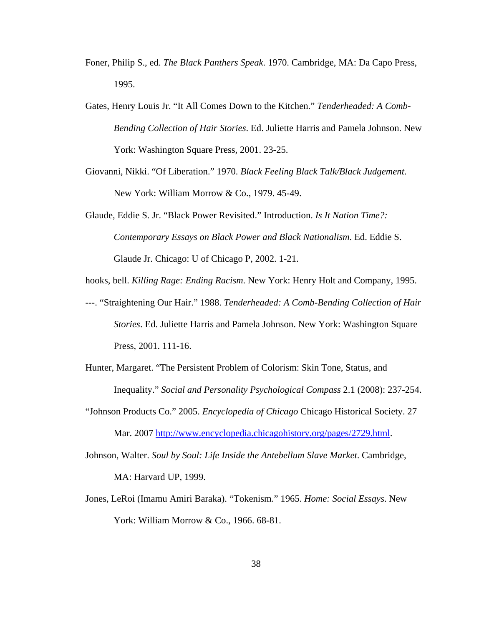- Foner, Philip S., ed. *The Black Panthers Speak*. 1970. Cambridge, MA: Da Capo Press, 1995.
- Gates, Henry Louis Jr. "It All Comes Down to the Kitchen." *Tenderheaded: A Comb-Bending Collection of Hair Stories*. Ed. Juliette Harris and Pamela Johnson. New York: Washington Square Press, 2001. 23-25.
- Giovanni, Nikki. "Of Liberation." 1970. *Black Feeling Black Talk/Black Judgement*. New York: William Morrow & Co., 1979. 45-49.
- Glaude, Eddie S. Jr. "Black Power Revisited." Introduction. *Is It Nation Time?: Contemporary Essays on Black Power and Black Nationalism*. Ed. Eddie S. Glaude Jr. Chicago: U of Chicago P, 2002. 1-21.
- hooks, bell. *Killing Rage: Ending Racism*. New York: Henry Holt and Company, 1995.
- ---. "Straightening Our Hair." 1988. *Tenderheaded: A Comb-Bending Collection of Hair Stories*. Ed. Juliette Harris and Pamela Johnson. New York: Washington Square Press, 2001. 111-16.
- Hunter, Margaret. "The Persistent Problem of Colorism: Skin Tone, Status, and Inequality." *Social and Personality Psychological Compass* 2.1 (2008): 237-254.
- "Johnson Products Co." 2005. *Encyclopedia of Chicago* Chicago Historical Society. 27 Mar. 2007 http://www.encyclopedia.chicagohistory.org/pages/2729.html.
- Johnson, Walter. *Soul by Soul: Life Inside the Antebellum Slave Market*. Cambridge, MA: Harvard UP, 1999.
- Jones, LeRoi (Imamu Amiri Baraka). "Tokenism." 1965. *Home: Social Essays*. New York: William Morrow & Co., 1966. 68-81.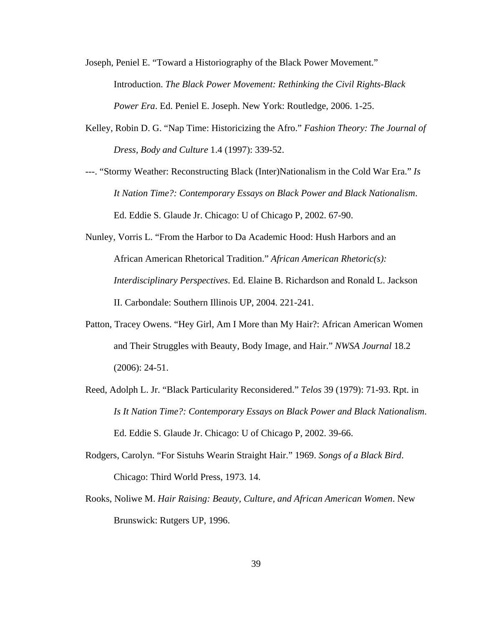- Joseph, Peniel E. "Toward a Historiography of the Black Power Movement." Introduction. *The Black Power Movement: Rethinking the Civil Rights-Black Power Era*. Ed. Peniel E. Joseph. New York: Routledge, 2006. 1-25.
- Kelley, Robin D. G. "Nap Time: Historicizing the Afro." *Fashion Theory: The Journal of Dress, Body and Culture* 1.4 (1997): 339-52.
- ---. "Stormy Weather: Reconstructing Black (Inter)Nationalism in the Cold War Era." *Is It Nation Time?: Contemporary Essays on Black Power and Black Nationalism*. Ed. Eddie S. Glaude Jr. Chicago: U of Chicago P, 2002. 67-90.
- Nunley, Vorris L. "From the Harbor to Da Academic Hood: Hush Harbors and an African American Rhetorical Tradition." *African American Rhetoric(s): Interdisciplinary Perspectives*. Ed. Elaine B. Richardson and Ronald L. Jackson II. Carbondale: Southern Illinois UP, 2004. 221-241.
- Patton, Tracey Owens. "Hey Girl, Am I More than My Hair?: African American Women and Their Struggles with Beauty, Body Image, and Hair." *NWSA Journal* 18.2 (2006): 24-51.
- Reed, Adolph L. Jr. "Black Particularity Reconsidered." *Telos* 39 (1979): 71-93. Rpt. in *Is It Nation Time?: Contemporary Essays on Black Power and Black Nationalism*. Ed. Eddie S. Glaude Jr. Chicago: U of Chicago P, 2002. 39-66.
- Rodgers, Carolyn. "For Sistuhs Wearin Straight Hair." 1969. *Songs of a Black Bird*. Chicago: Third World Press, 1973. 14.
- Rooks, Noliwe M. *Hair Raising: Beauty, Culture, and African American Women*. New Brunswick: Rutgers UP, 1996.